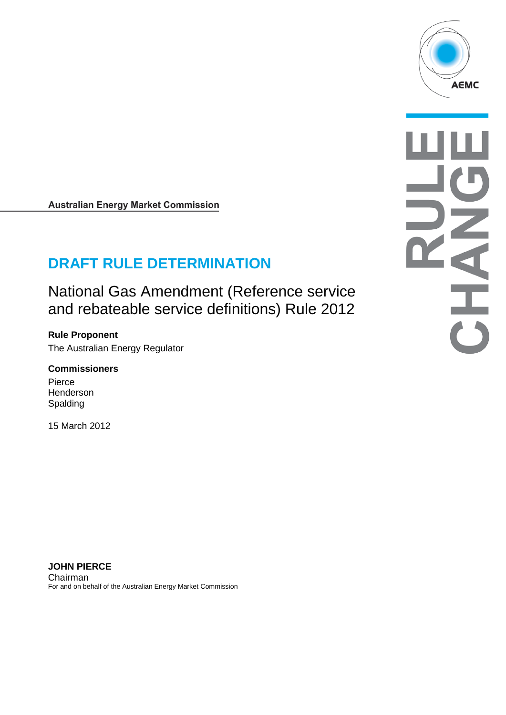

**Australian Energy Market Commission** 

# **DRAFT RULE DETERMINATION**

National Gas Amendment (Reference service and rebateable service definitions) Rule 2012

**Rule Proponent** The Australian Energy Regulator

#### **Commissioners**

Pierce Henderson Spalding

15 March 2012

**JOHN PIERCE** Chairman For and on behalf of the Australian Energy Market Commission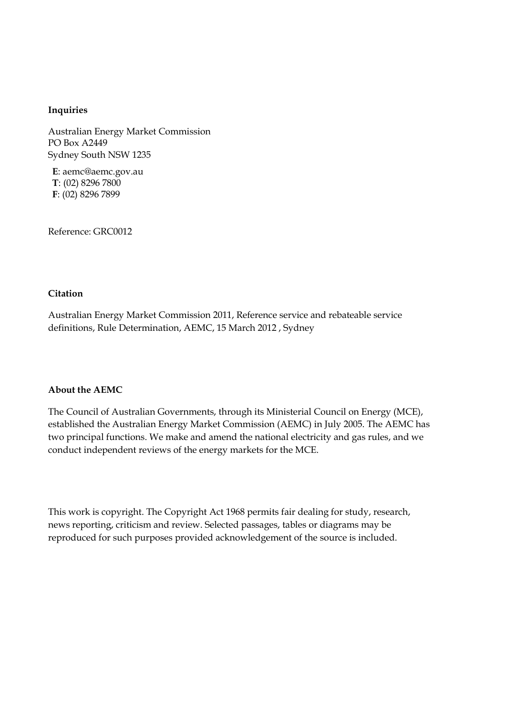#### **Inquiries**

Australian Energy Market Commission PO Box A2449 Sydney South NSW 1235

**E**: aemc@aemc.gov.au **T**: (02) 8296 7800 **F**: (02) 8296 7899

Reference: GRC0012

#### **Citation**

Australian Energy Market Commission 2011, Reference service and rebateable service definitions, Rule Determination, AEMC, 15 March 2012 , Sydney

#### **About the AEMC**

The Council of Australian Governments, through its Ministerial Council on Energy (MCE), established the Australian Energy Market Commission (AEMC) in July 2005. The AEMC has two principal functions. We make and amend the national electricity and gas rules, and we conduct independent reviews of the energy markets for the MCE.

This work is copyright. The Copyright Act 1968 permits fair dealing for study, research, news reporting, criticism and review. Selected passages, tables or diagrams may be reproduced for such purposes provided acknowledgement of the source is included.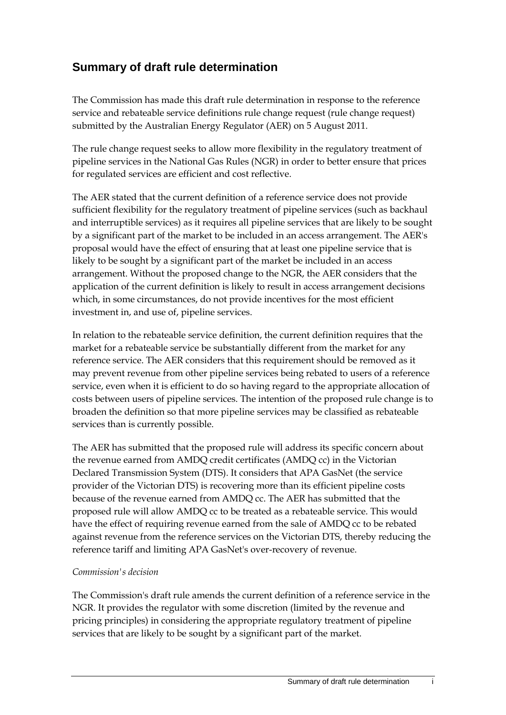# **Summary of draft rule determination**

The Commission has made this draft rule determination in response to the reference service and rebateable service definitions rule change request (rule change request) submitted by the Australian Energy Regulator (AER) on 5 August 2011.

The rule change request seeks to allow more flexibility in the regulatory treatment of pipeline services in the National Gas Rules (NGR) in order to better ensure that prices for regulated services are efficient and cost reflective.

The AER stated that the current definition of a reference service does not provide sufficient flexibility for the regulatory treatment of pipeline services (such as backhaul and interruptible services) as it requires all pipeline services that are likely to be sought by a significant part of the market to be included in an access arrangement. The AER's proposal would have the effect of ensuring that at least one pipeline service that is likely to be sought by a significant part of the market be included in an access arrangement. Without the proposed change to the NGR, the AER considers that the application of the current definition is likely to result in access arrangement decisions which, in some circumstances, do not provide incentives for the most efficient investment in, and use of, pipeline services.

In relation to the rebateable service definition, the current definition requires that the market for a rebateable service be substantially different from the market for any reference service. The AER considers that this requirement should be removed as it may prevent revenue from other pipeline services being rebated to users of a reference service, even when it is efficient to do so having regard to the appropriate allocation of costs between users of pipeline services. The intention of the proposed rule change is to broaden the definition so that more pipeline services may be classified as rebateable services than is currently possible.

The AER has submitted that the proposed rule will address its specific concern about the revenue earned from AMDQ credit certificates (AMDQ cc) in the Victorian Declared Transmission System (DTS). It considers that APA GasNet (the service provider of the Victorian DTS) is recovering more than its efficient pipeline costs because of the revenue earned from AMDQ cc. The AER has submitted that the proposed rule will allow AMDQ cc to be treated as a rebateable service. This would have the effect of requiring revenue earned from the sale of AMDQ cc to be rebated against revenue from the reference services on the Victorian DTS, thereby reducing the reference tariff and limiting APA GasNet's over-recovery of revenue.

#### *Commission's decision*

The Commission's draft rule amends the current definition of a reference service in the NGR. It provides the regulator with some discretion (limited by the revenue and pricing principles) in considering the appropriate regulatory treatment of pipeline services that are likely to be sought by a significant part of the market.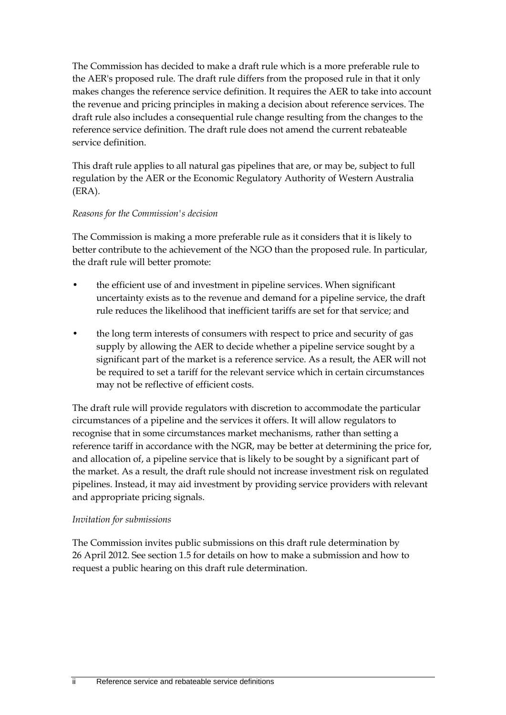The Commission has decided to make a draft rule which is a more preferable rule to the AER's proposed rule. The draft rule differs from the proposed rule in that it only makes changes the reference service definition. It requires the AER to take into account the revenue and pricing principles in making a decision about reference services. The draft rule also includes a consequential rule change resulting from the changes to the reference service definition. The draft rule does not amend the current rebateable service definition.

This draft rule applies to all natural gas pipelines that are, or may be, subject to full regulation by the AER or the Economic Regulatory Authority of Western Australia (ERA).

#### *Reasons for the Commission's decision*

The Commission is making a more preferable rule as it considers that it is likely to better contribute to the achievement of the NGO than the proposed rule. In particular, the draft rule will better promote:

- the efficient use of and investment in pipeline services. When significant uncertainty exists as to the revenue and demand for a pipeline service, the draft rule reduces the likelihood that inefficient tariffs are set for that service; and
- the long term interests of consumers with respect to price and security of gas supply by allowing the AER to decide whether a pipeline service sought by a significant part of the market is a reference service. As a result, the AER will not be required to set a tariff for the relevant service which in certain circumstances may not be reflective of efficient costs.

The draft rule will provide regulators with discretion to accommodate the particular circumstances of a pipeline and the services it offers. It will allow regulators to recognise that in some circumstances market mechanisms, rather than setting a reference tariff in accordance with the NGR, may be better at determining the price for, and allocation of, a pipeline service that is likely to be sought by a significant part of the market. As a result, the draft rule should not increase investment risk on regulated pipelines. Instead, it may aid investment by providing service providers with relevant and appropriate pricing signals.

#### *Invitation for submissions*

The Commission invites public submissions on this draft rule determination by 26 April 2012. See section 1.5 for details on how to make a submission and how to request a public hearing on this draft rule determination.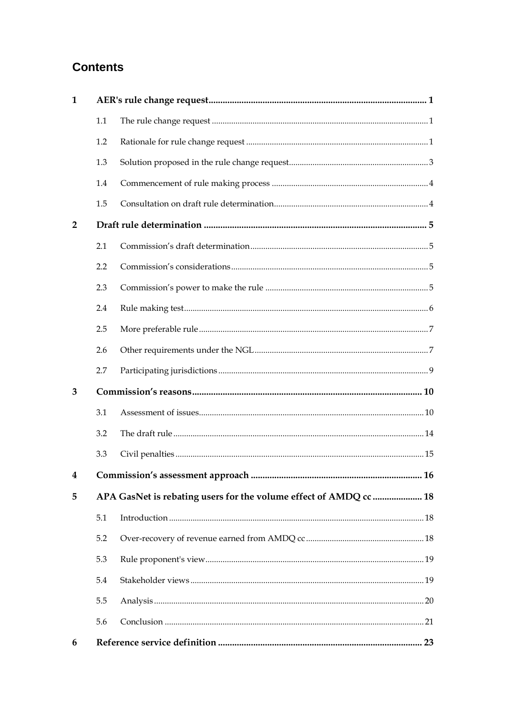# **Contents**

| $\mathbf{1}$   |     |                                                                   |  |
|----------------|-----|-------------------------------------------------------------------|--|
|                | 1.1 |                                                                   |  |
|                | 1.2 |                                                                   |  |
|                | 1.3 |                                                                   |  |
|                | 1.4 |                                                                   |  |
|                | 1.5 |                                                                   |  |
| $\overline{2}$ |     |                                                                   |  |
|                | 2.1 |                                                                   |  |
|                | 2.2 |                                                                   |  |
|                | 2.3 |                                                                   |  |
|                | 2.4 |                                                                   |  |
|                | 2.5 |                                                                   |  |
|                | 2.6 |                                                                   |  |
|                | 2.7 |                                                                   |  |
| 3              |     |                                                                   |  |
|                | 3.1 |                                                                   |  |
|                | 3.2 |                                                                   |  |
|                | 3.3 |                                                                   |  |
| $\overline{4}$ |     | 16                                                                |  |
| 5              |     | APA GasNet is rebating users for the volume effect of AMDQ cc  18 |  |
|                | 5.1 |                                                                   |  |
|                | 5.2 |                                                                   |  |
|                | 5.3 |                                                                   |  |
|                | 5.4 |                                                                   |  |
|                | 5.5 |                                                                   |  |
|                | 5.6 |                                                                   |  |
| 6              |     |                                                                   |  |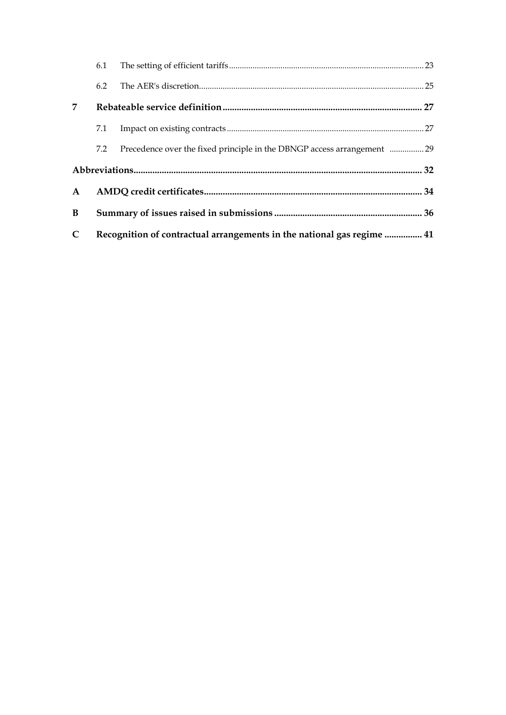|                             | 6.1                                                                    |                                                                        |  |
|-----------------------------|------------------------------------------------------------------------|------------------------------------------------------------------------|--|
|                             | 6.2                                                                    |                                                                        |  |
| $\overline{7}$              |                                                                        |                                                                        |  |
|                             | 7.1                                                                    |                                                                        |  |
|                             | 7.2                                                                    | Precedence over the fixed principle in the DBNGP access arrangement 29 |  |
|                             |                                                                        |                                                                        |  |
| $\mathbf{A}$                |                                                                        |                                                                        |  |
| B                           |                                                                        |                                                                        |  |
| $\mathcal{C}_{\mathcal{C}}$ | Recognition of contractual arrangements in the national gas regime  41 |                                                                        |  |
|                             |                                                                        |                                                                        |  |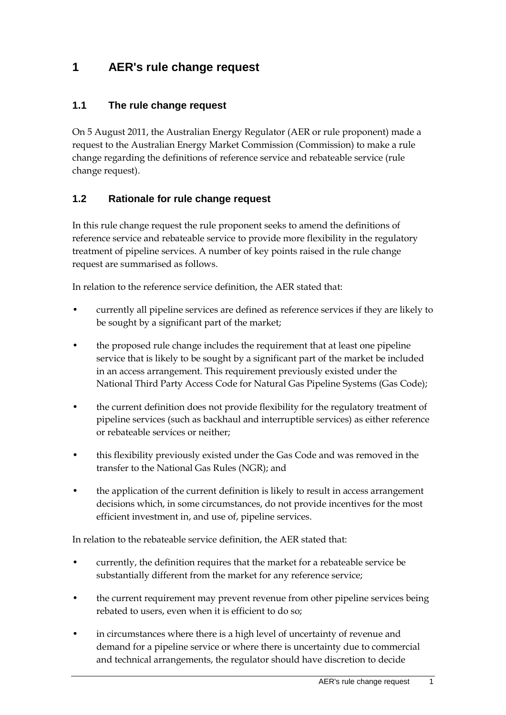## <span id="page-6-0"></span>**1 AER's rule change request**

### <span id="page-6-1"></span>**1.1 The rule change request**

On 5 August 2011, the Australian Energy Regulator (AER or rule proponent) made a request to the Australian Energy Market Commission (Commission) to make a rule change regarding the definitions of reference service and rebateable service (rule change request).

### <span id="page-6-2"></span>**1.2 Rationale for rule change request**

In this rule change request the rule proponent seeks to amend the definitions of reference service and rebateable service to provide more flexibility in the regulatory treatment of pipeline services. A number of key points raised in the rule change request are summarised as follows.

In relation to the reference service definition, the AER stated that:

- currently all pipeline services are defined as reference services if they are likely to be sought by a significant part of the market;
- the proposed rule change includes the requirement that at least one pipeline service that is likely to be sought by a significant part of the market be included in an access arrangement. This requirement previously existed under the National Third Party Access Code for Natural Gas Pipeline Systems (Gas Code);
- the current definition does not provide flexibility for the regulatory treatment of pipeline services (such as backhaul and interruptible services) as either reference or rebateable services or neither;
- this flexibility previously existed under the Gas Code and was removed in the transfer to the National Gas Rules (NGR); and
- the application of the current definition is likely to result in access arrangement decisions which, in some circumstances, do not provide incentives for the most efficient investment in, and use of, pipeline services.

In relation to the rebateable service definition, the AER stated that:

- currently, the definition requires that the market for a rebateable service be substantially different from the market for any reference service;
- the current requirement may prevent revenue from other pipeline services being rebated to users, even when it is efficient to do so;
- in circumstances where there is a high level of uncertainty of revenue and demand for a pipeline service or where there is uncertainty due to commercial and technical arrangements, the regulator should have discretion to decide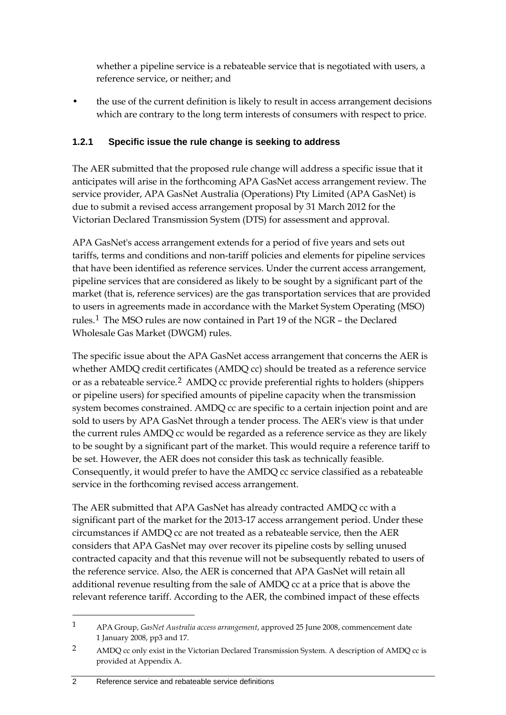whether a pipeline service is a rebateable service that is negotiated with users, a reference service, or neither; and

• the use of the current definition is likely to result in access arrangement decisions which are contrary to the long term interests of consumers with respect to price.

### **1.2.1 Specific issue the rule change is seeking to address**

The AER submitted that the proposed rule change will address a specific issue that it anticipates will arise in the forthcoming APA GasNet access arrangement review. The service provider, APA GasNet Australia (Operations) Pty Limited (APA GasNet) is due to submit a revised access arrangement proposal by 31 March 2012 for the Victorian Declared Transmission System (DTS) for assessment and approval.

APA GasNet's access arrangement extends for a period of five years and sets out tariffs, terms and conditions and non-tariff policies and elements for pipeline services that have been identified as reference services. Under the current access arrangement, pipeline services that are considered as likely to be sought by a significant part of the market (that is, reference services) are the gas transportation services that are provided to users in agreements made in accordance with the Market System Operating (MSO) rules.[1](#page-7-0) The MSO rules are now contained in Part 19 of the NGR – the Declared Wholesale Gas Market (DWGM) rules.

The specific issue about the APA GasNet access arrangement that concerns the AER is whether AMDQ credit certificates (AMDQ cc) should be treated as a reference service or as a rebateable service.[2](#page-7-1) AMDQ cc provide preferential rights to holders (shippers or pipeline users) for specified amounts of pipeline capacity when the transmission system becomes constrained. AMDQ cc are specific to a certain injection point and are sold to users by APA GasNet through a tender process. The AER's view is that under the current rules AMDQ cc would be regarded as a reference service as they are likely to be sought by a significant part of the market. This would require a reference tariff to be set. However, the AER does not consider this task as technically feasible. Consequently, it would prefer to have the AMDQ cc service classified as a rebateable service in the forthcoming revised access arrangement.

The AER submitted that APA GasNet has already contracted AMDQ cc with a significant part of the market for the 2013-17 access arrangement period. Under these circumstances if AMDQ cc are not treated as a rebateable service, then the AER considers that APA GasNet may over recover its pipeline costs by selling unused contracted capacity and that this revenue will not be subsequently rebated to users of the reference service. Also, the AER is concerned that APA GasNet will retain all additional revenue resulting from the sale of AMDQ cc at a price that is above the relevant reference tariff. According to the AER, the combined impact of these effects

<span id="page-7-0"></span><sup>1</sup> APA Group, *GasNet Australia access arrangement*, approved 25 June 2008, commencement date 1 January 2008, pp3 and 17.

<span id="page-7-1"></span><sup>2</sup> AMDQ cc only exist in the Victorian Declared Transmission System. A description of AMDQ cc is provided at Appendix A.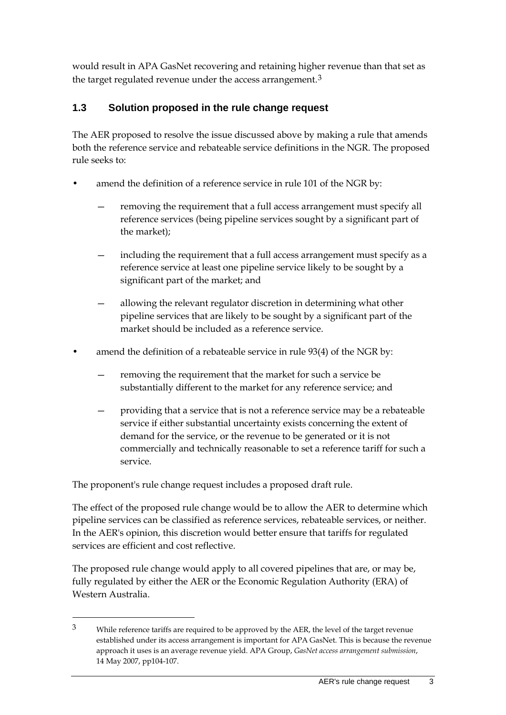would result in APA GasNet recovering and retaining higher revenue than that set as the target regulated revenue under the access arrangement.<sup>[3](#page-8-1)</sup>

## <span id="page-8-0"></span>**1.3 Solution proposed in the rule change request**

The AER proposed to resolve the issue discussed above by making a rule that amends both the reference service and rebateable service definitions in the NGR. The proposed rule seeks to:

- amend the definition of a reference service in rule 101 of the NGR by:
	- removing the requirement that a full access arrangement must specify all reference services (being pipeline services sought by a significant part of the market);
	- including the requirement that a full access arrangement must specify as a reference service at least one pipeline service likely to be sought by a significant part of the market; and
	- allowing the relevant regulator discretion in determining what other pipeline services that are likely to be sought by a significant part of the market should be included as a reference service.
- amend the definition of a rebateable service in rule 93(4) of the NGR by:
	- removing the requirement that the market for such a service be substantially different to the market for any reference service; and
	- providing that a service that is not a reference service may be a rebateable service if either substantial uncertainty exists concerning the extent of demand for the service, or the revenue to be generated or it is not commercially and technically reasonable to set a reference tariff for such a service.

The proponent's rule change request includes a proposed draft rule.

-

The effect of the proposed rule change would be to allow the AER to determine which pipeline services can be classified as reference services, rebateable services, or neither. In the AER's opinion, this discretion would better ensure that tariffs for regulated services are efficient and cost reflective.

The proposed rule change would apply to all covered pipelines that are, or may be, fully regulated by either the AER or the Economic Regulation Authority (ERA) of Western Australia.

<span id="page-8-1"></span><sup>3</sup> While reference tariffs are required to be approved by the AER, the level of the target revenue established under its access arrangement is important for APA GasNet. This is because the revenue approach it uses is an average revenue yield. APA Group, *GasNet access arrangement submission*, 14 May 2007, pp104-107.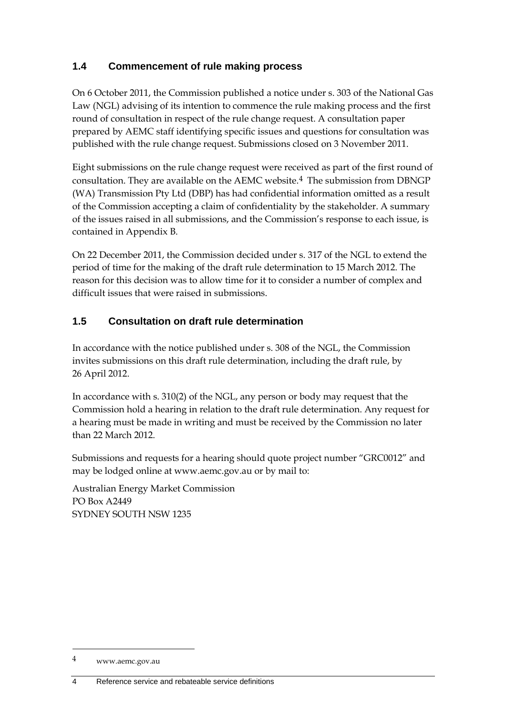### <span id="page-9-0"></span>**1.4 Commencement of rule making process**

On 6 October 2011, the Commission published a notice under s. 303 of the National Gas Law (NGL) advising of its intention to commence the rule making process and the first round of consultation in respect of the rule change request. A consultation paper prepared by AEMC staff identifying specific issues and questions for consultation was published with the rule change request. Submissions closed on 3 November 2011.

Eight submissions on the rule change request were received as part of the first round of consultation. They are available on the AEMC website.[4](#page-9-2) The submission from DBNGP (WA) Transmission Pty Ltd (DBP) has had confidential information omitted as a result of the Commission accepting a claim of confidentiality by the stakeholder. A summary of the issues raised in all submissions, and the Commission's response to each issue, is contained in Appendix B.

On 22 December 2011, the Commission decided under s. 317 of the NGL to extend the period of time for the making of the draft rule determination to 15 March 2012. The reason for this decision was to allow time for it to consider a number of complex and difficult issues that were raised in submissions.

### <span id="page-9-1"></span>**1.5 Consultation on draft rule determination**

In accordance with the notice published under s. 308 of the NGL, the Commission invites submissions on this draft rule determination, including the draft rule, by 26 April 2012.

In accordance with s. 310(2) of the NGL, any person or body may request that the Commission hold a hearing in relation to the draft rule determination. Any request for a hearing must be made in writing and must be received by the Commission no later than 22 March 2012.

Submissions and requests for a hearing should quote project number "GRC0012" and may be lodged online at www.aemc.gov.au or by mail to:

Australian Energy Market Commission PO Box A2449 SYDNEY SOUTH NSW 1235

<span id="page-9-2"></span><sup>4</sup> www.aemc.gov.au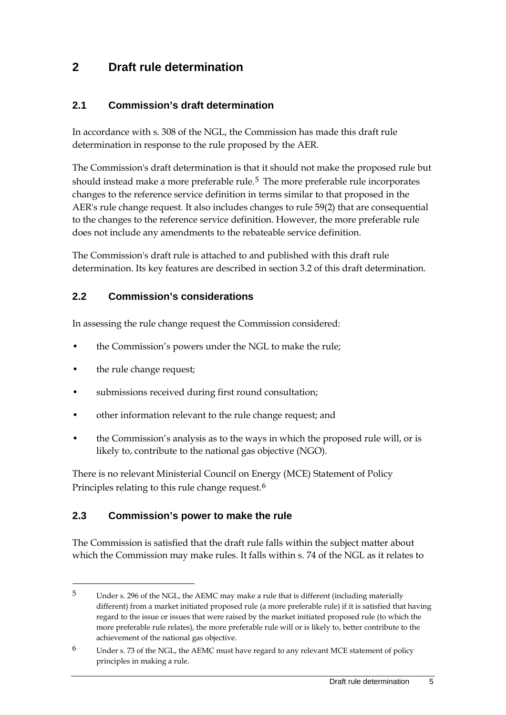## <span id="page-10-0"></span>**2 Draft rule determination**

### <span id="page-10-1"></span>**2.1 Commission's draft determination**

In accordance with s. 308 of the NGL, the Commission has made this draft rule determination in response to the rule proposed by the AER.

The Commission's draft determination is that it should not make the proposed rule but should instead make a more preferable rule.<sup>[5](#page-10-4)</sup> The more preferable rule incorporates changes to the reference service definition in terms similar to that proposed in the AER's rule change request. It also includes changes to rule 59(2) that are consequential to the changes to the reference service definition. However, the more preferable rule does not include any amendments to the rebateable service definition.

The Commission's draft rule is attached to and published with this draft rule determination. Its key features are described in section [3.2](#page-19-0) of this draft determination.

#### <span id="page-10-2"></span>**2.2 Commission's considerations**

In assessing the rule change request the Commission considered:

- the Commission's powers under the NGL to make the rule;
- the rule change request;

-

- submissions received during first round consultation;
- other information relevant to the rule change request; and
- the Commission's analysis as to the ways in which the proposed rule will, or is likely to, contribute to the national gas objective (NGO).

There is no relevant Ministerial Council on Energy (MCE) Statement of Policy Principles relating to this rule change request.<sup>[6](#page-10-5)</sup>

### <span id="page-10-3"></span>**2.3 Commission's power to make the rule**

The Commission is satisfied that the draft rule falls within the subject matter about which the Commission may make rules. It falls within s. 74 of the NGL as it relates to

<span id="page-10-4"></span><sup>5</sup> Under s. 296 of the NGL, the AEMC may make a rule that is different (including materially different) from a market initiated proposed rule (a more preferable rule) if it is satisfied that having regard to the issue or issues that were raised by the market initiated proposed rule (to which the more preferable rule relates), the more preferable rule will or is likely to, better contribute to the achievement of the national gas objective.

<span id="page-10-5"></span><sup>6</sup> Under s. 73 of the NGL, the AEMC must have regard to any relevant MCE statement of policy principles in making a rule.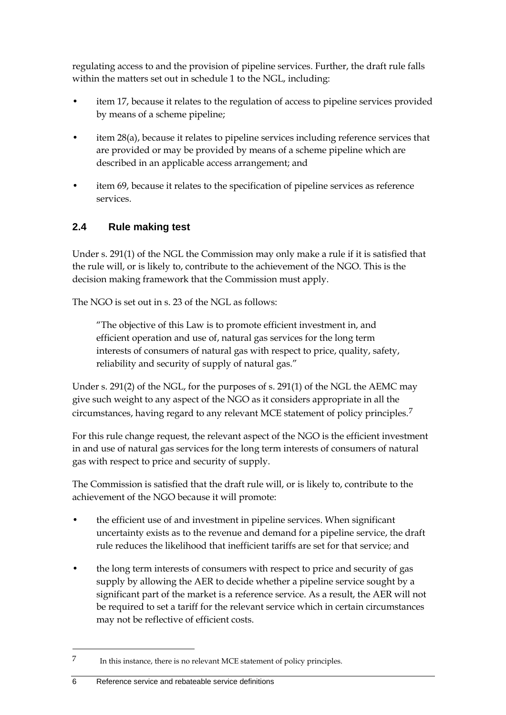regulating access to and the provision of pipeline services. Further, the draft rule falls within the matters set out in schedule 1 to the NGL, including:

- item 17, because it relates to the regulation of access to pipeline services provided by means of a scheme pipeline;
- item 28(a), because it relates to pipeline services including reference services that are provided or may be provided by means of a scheme pipeline which are described in an applicable access arrangement; and
- item 69, because it relates to the specification of pipeline services as reference services.

## <span id="page-11-0"></span>**2.4 Rule making test**

Under s. 291(1) of the NGL the Commission may only make a rule if it is satisfied that the rule will, or is likely to, contribute to the achievement of the NGO. This is the decision making framework that the Commission must apply.

The NGO is set out in s. 23 of the NGL as follows:

"The objective of this Law is to promote efficient investment in, and efficient operation and use of, natural gas services for the long term interests of consumers of natural gas with respect to price, quality, safety, reliability and security of supply of natural gas."

Under s. 291(2) of the NGL, for the purposes of s. 291(1) of the NGL the AEMC may give such weight to any aspect of the NGO as it considers appropriate in all the circumstances, having regard to any relevant MCE statement of policy principles.[7](#page-11-1)

For this rule change request, the relevant aspect of the NGO is the efficient investment in and use of natural gas services for the long term interests of consumers of natural gas with respect to price and security of supply.

The Commission is satisfied that the draft rule will, or is likely to, contribute to the achievement of the NGO because it will promote:

- the efficient use of and investment in pipeline services. When significant uncertainty exists as to the revenue and demand for a pipeline service, the draft rule reduces the likelihood that inefficient tariffs are set for that service; and
- the long term interests of consumers with respect to price and security of gas supply by allowing the AER to decide whether a pipeline service sought by a significant part of the market is a reference service. As a result, the AER will not be required to set a tariff for the relevant service which in certain circumstances may not be reflective of efficient costs.

<span id="page-11-1"></span><sup>7</sup> In this instance, there is no relevant MCE statement of policy principles.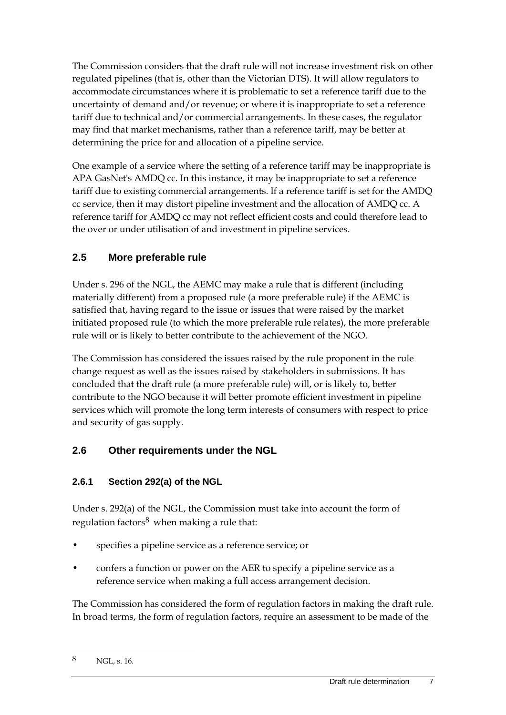The Commission considers that the draft rule will not increase investment risk on other regulated pipelines (that is, other than the Victorian DTS). It will allow regulators to accommodate circumstances where it is problematic to set a reference tariff due to the uncertainty of demand and/or revenue; or where it is inappropriate to set a reference tariff due to technical and/or commercial arrangements. In these cases, the regulator may find that market mechanisms, rather than a reference tariff, may be better at determining the price for and allocation of a pipeline service.

One example of a service where the setting of a reference tariff may be inappropriate is APA GasNet's AMDQ cc. In this instance, it may be inappropriate to set a reference tariff due to existing commercial arrangements. If a reference tariff is set for the AMDQ cc service, then it may distort pipeline investment and the allocation of AMDQ cc. A reference tariff for AMDQ cc may not reflect efficient costs and could therefore lead to the over or under utilisation of and investment in pipeline services.

### <span id="page-12-0"></span>**2.5 More preferable rule**

Under s. 296 of the NGL, the AEMC may make a rule that is different (including materially different) from a proposed rule (a more preferable rule) if the AEMC is satisfied that, having regard to the issue or issues that were raised by the market initiated proposed rule (to which the more preferable rule relates), the more preferable rule will or is likely to better contribute to the achievement of the NGO.

The Commission has considered the issues raised by the rule proponent in the rule change request as well as the issues raised by stakeholders in submissions. It has concluded that the draft rule (a more preferable rule) will, or is likely to, better contribute to the NGO because it will better promote efficient investment in pipeline services which will promote the long term interests of consumers with respect to price and security of gas supply.

## <span id="page-12-1"></span>**2.6 Other requirements under the NGL**

### **2.6.1 Section 292(a) of the NGL**

Under s. 292(a) of the NGL, the Commission must take into account the form of regulation factors $8$  when making a rule that:

- specifies a pipeline service as a reference service; or
- confers a function or power on the AER to specify a pipeline service as a reference service when making a full access arrangement decision.

The Commission has considered the form of regulation factors in making the draft rule. In broad terms, the form of regulation factors, require an assessment to be made of the

<span id="page-12-2"></span><sup>8</sup> NGL, s. 16.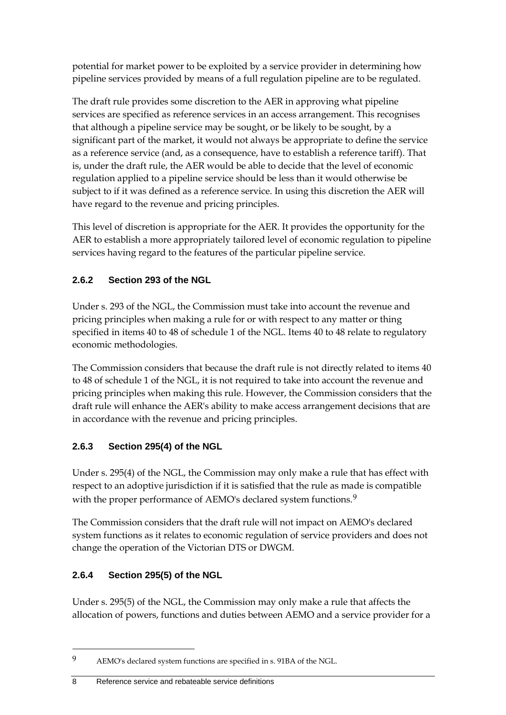potential for market power to be exploited by a service provider in determining how pipeline services provided by means of a full regulation pipeline are to be regulated.

The draft rule provides some discretion to the AER in approving what pipeline services are specified as reference services in an access arrangement. This recognises that although a pipeline service may be sought, or be likely to be sought, by a significant part of the market, it would not always be appropriate to define the service as a reference service (and, as a consequence, have to establish a reference tariff). That is, under the draft rule, the AER would be able to decide that the level of economic regulation applied to a pipeline service should be less than it would otherwise be subject to if it was defined as a reference service. In using this discretion the AER will have regard to the revenue and pricing principles.

This level of discretion is appropriate for the AER. It provides the opportunity for the AER to establish a more appropriately tailored level of economic regulation to pipeline services having regard to the features of the particular pipeline service.

### **2.6.2 Section 293 of the NGL**

Under s. 293 of the NGL, the Commission must take into account the revenue and pricing principles when making a rule for or with respect to any matter or thing specified in items 40 to 48 of schedule 1 of the NGL. Items 40 to 48 relate to regulatory economic methodologies.

The Commission considers that because the draft rule is not directly related to items 40 to 48 of schedule 1 of the NGL, it is not required to take into account the revenue and pricing principles when making this rule. However, the Commission considers that the draft rule will enhance the AER's ability to make access arrangement decisions that are in accordance with the revenue and pricing principles.

## **2.6.3 Section 295(4) of the NGL**

Under s. 295(4) of the NGL, the Commission may only make a rule that has effect with respect to an adoptive jurisdiction if it is satisfied that the rule as made is compatible with the proper performance of AEMO's declared system functions.<sup>[9](#page-13-0)</sup>

The Commission considers that the draft rule will not impact on AEMO's declared system functions as it relates to economic regulation of service providers and does not change the operation of the Victorian DTS or DWGM.

## **2.6.4 Section 295(5) of the NGL**

-

Under s. 295(5) of the NGL, the Commission may only make a rule that affects the allocation of powers, functions and duties between AEMO and a service provider for a

8 Reference service and rebateable service definitions

<span id="page-13-0"></span><sup>9</sup> AEMO's declared system functions are specified in s. 91BA of the NGL.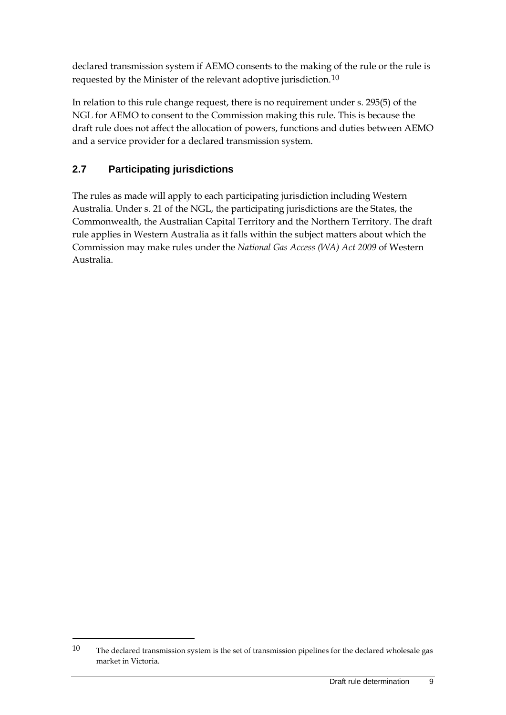declared transmission system if AEMO consents to the making of the rule or the rule is requested by the Minister of the relevant adoptive jurisdiction.[10](#page-14-1)

In relation to this rule change request, there is no requirement under s. 295(5) of the NGL for AEMO to consent to the Commission making this rule. This is because the draft rule does not affect the allocation of powers, functions and duties between AEMO and a service provider for a declared transmission system.

## <span id="page-14-0"></span>**2.7 Participating jurisdictions**

-

The rules as made will apply to each participating jurisdiction including Western Australia. Under s. 21 of the NGL, the participating jurisdictions are the States, the Commonwealth, the Australian Capital Territory and the Northern Territory. The draft rule applies in Western Australia as it falls within the subject matters about which the Commission may make rules under the *National Gas Access (WA) Act 2009* of Western Australia.

<span id="page-14-1"></span> $10$  The declared transmission system is the set of transmission pipelines for the declared wholesale gas market in Victoria.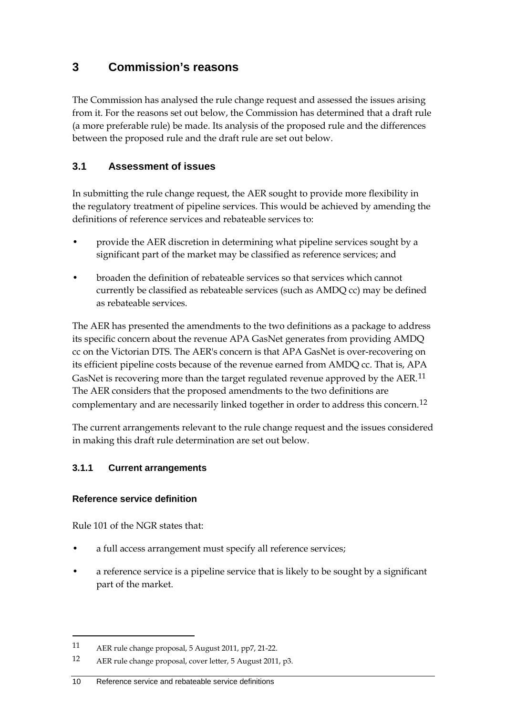## <span id="page-15-0"></span>**3 Commission's reasons**

The Commission has analysed the rule change request and assessed the issues arising from it. For the reasons set out below, the Commission has determined that a draft rule (a more preferable rule) be made. Its analysis of the proposed rule and the differences between the proposed rule and the draft rule are set out below.

### <span id="page-15-1"></span>**3.1 Assessment of issues**

In submitting the rule change request, the AER sought to provide more flexibility in the regulatory treatment of pipeline services. This would be achieved by amending the definitions of reference services and rebateable services to:

- provide the AER discretion in determining what pipeline services sought by a significant part of the market may be classified as reference services; and
- broaden the definition of rebateable services so that services which cannot currently be classified as rebateable services (such as AMDQ cc) may be defined as rebateable services.

The AER has presented the amendments to the two definitions as a package to address its specific concern about the revenue APA GasNet generates from providing AMDQ cc on the Victorian DTS. The AER's concern is that APA GasNet is over-recovering on its efficient pipeline costs because of the revenue earned from AMDQ cc. That is, APA GasNet is recovering more than the target regulated revenue approved by the AER.<sup>[11](#page-15-2)</sup> The AER considers that the proposed amendments to the two definitions are complementary and are necessarily linked together in order to address this concern.[12](#page-15-3)

The current arrangements relevant to the rule change request and the issues considered in making this draft rule determination are set out below.

### **3.1.1 Current arrangements**

### **Reference service definition**

Rule 101 of the NGR states that:

- a full access arrangement must specify all reference services;
- a reference service is a pipeline service that is likely to be sought by a significant part of the market.

<span id="page-15-2"></span><sup>11</sup> AER rule change proposal, 5 August 2011, pp7, 21-22.

<span id="page-15-3"></span><sup>12</sup> AER rule change proposal, cover letter, 5 August 2011, p3.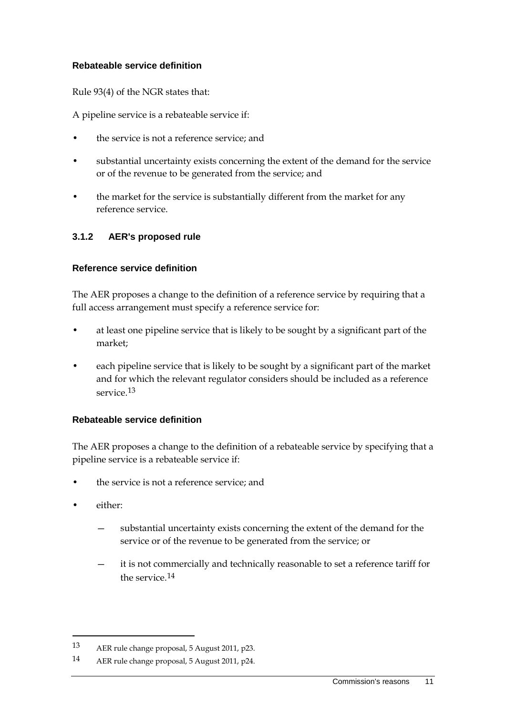#### **Rebateable service definition**

Rule 93(4) of the NGR states that:

A pipeline service is a rebateable service if:

- the service is not a reference service; and
- substantial uncertainty exists concerning the extent of the demand for the service or of the revenue to be generated from the service; and
- the market for the service is substantially different from the market for any reference service.

### **3.1.2 AER's proposed rule**

#### **Reference service definition**

The AER proposes a change to the definition of a reference service by requiring that a full access arrangement must specify a reference service for:

- at least one pipeline service that is likely to be sought by a significant part of the market;
- each pipeline service that is likely to be sought by a significant part of the market and for which the relevant regulator considers should be included as a reference service.[13](#page-16-0)

#### **Rebateable service definition**

The AER proposes a change to the definition of a rebateable service by specifying that a pipeline service is a rebateable service if:

- the service is not a reference service; and
- either:

- substantial uncertainty exists concerning the extent of the demand for the service or of the revenue to be generated from the service; or
- it is not commercially and technically reasonable to set a reference tariff for the service  $14$

<span id="page-16-0"></span><sup>13</sup> AER rule change proposal, 5 August 2011, p23.

<span id="page-16-1"></span><sup>14</sup> AER rule change proposal, 5 August 2011, p24.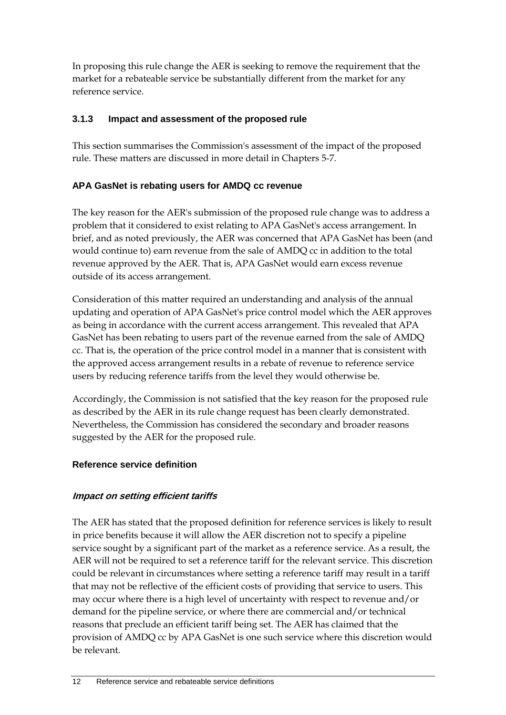In proposing this rule change the AER is seeking to remove the requirement that the market for a rebateable service be substantially different from the market for any reference service.

### **3.1.3 Impact and assessment of the proposed rule**

This section summarises the Commission's assessment of the impact of the proposed rule. These matters are discussed in more detail in Chapters 5-7.

### **APA GasNet is rebating users for AMDQ cc revenue**

The key reason for the AER's submission of the proposed rule change was to address a problem that it considered to exist relating to APA GasNet's access arrangement. In brief, and as noted previously, the AER was concerned that APA GasNet has been (and would continue to) earn revenue from the sale of AMDQ cc in addition to the total revenue approved by the AER. That is, APA GasNet would earn excess revenue outside of its access arrangement.

Consideration of this matter required an understanding and analysis of the annual updating and operation of APA GasNet's price control model which the AER approves as being in accordance with the current access arrangement. This revealed that APA GasNet has been rebating to users part of the revenue earned from the sale of AMDQ cc. That is, the operation of the price control model in a manner that is consistent with the approved access arrangement results in a rebate of revenue to reference service users by reducing reference tariffs from the level they would otherwise be.

Accordingly, the Commission is not satisfied that the key reason for the proposed rule as described by the AER in its rule change request has been clearly demonstrated. Nevertheless, the Commission has considered the secondary and broader reasons suggested by the AER for the proposed rule.

### **Reference service definition**

### **Impact on setting efficient tariffs**

The AER has stated that the proposed definition for reference services is likely to result in price benefits because it will allow the AER discretion not to specify a pipeline service sought by a significant part of the market as a reference service. As a result, the AER will not be required to set a reference tariff for the relevant service. This discretion could be relevant in circumstances where setting a reference tariff may result in a tariff that may not be reflective of the efficient costs of providing that service to users. This may occur where there is a high level of uncertainty with respect to revenue and/or demand for the pipeline service, or where there are commercial and/or technical reasons that preclude an efficient tariff being set. The AER has claimed that the provision of AMDQ cc by APA GasNet is one such service where this discretion would be relevant.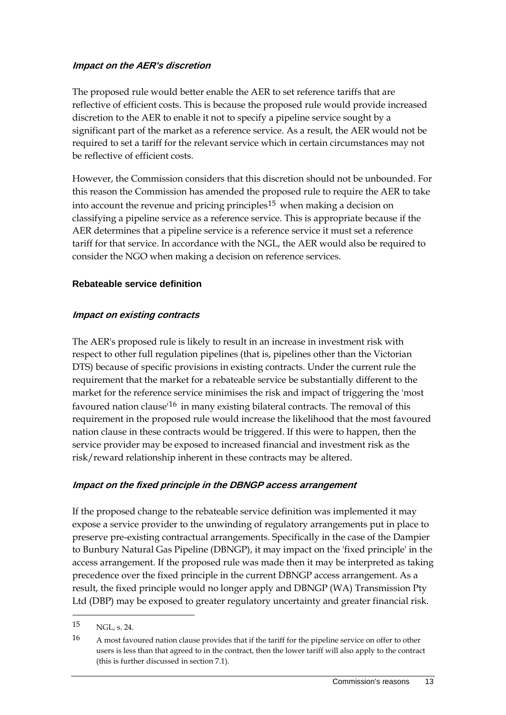#### **Impact on the AER's discretion**

The proposed rule would better enable the AER to set reference tariffs that are reflective of efficient costs. This is because the proposed rule would provide increased discretion to the AER to enable it not to specify a pipeline service sought by a significant part of the market as a reference service. As a result, the AER would not be required to set a tariff for the relevant service which in certain circumstances may not be reflective of efficient costs.

However, the Commission considers that this discretion should not be unbounded. For this reason the Commission has amended the proposed rule to require the AER to take into account the revenue and pricing principles<sup>[15](#page-18-0)</sup> when making a decision on classifying a pipeline service as a reference service. This is appropriate because if the AER determines that a pipeline service is a reference service it must set a reference tariff for that service. In accordance with the NGL, the AER would also be required to consider the NGO when making a decision on reference services.

#### **Rebateable service definition**

#### **Impact on existing contracts**

The AER's proposed rule is likely to result in an increase in investment risk with respect to other full regulation pipelines (that is, pipelines other than the Victorian DTS) because of specific provisions in existing contracts. Under the current rule the requirement that the market for a rebateable service be substantially different to the market for the reference service minimises the risk and impact of triggering the 'most favoured nation clause<sup> $16$ </sup> in many existing bilateral contracts. The removal of this requirement in the proposed rule would increase the likelihood that the most favoured nation clause in these contracts would be triggered. If this were to happen, then the service provider may be exposed to increased financial and investment risk as the risk/reward relationship inherent in these contracts may be altered.

#### **Impact on the fixed principle in the DBNGP access arrangement**

If the proposed change to the rebateable service definition was implemented it may expose a service provider to the unwinding of regulatory arrangements put in place to preserve pre-existing contractual arrangements. Specifically in the case of the Dampier to Bunbury Natural Gas Pipeline (DBNGP), it may impact on the 'fixed principle' in the access arrangement. If the proposed rule was made then it may be interpreted as taking precedence over the fixed principle in the current DBNGP access arrangement. As a result, the fixed principle would no longer apply and DBNGP (WA) Transmission Pty Ltd (DBP) may be exposed to greater regulatory uncertainty and greater financial risk.

<span id="page-18-0"></span><sup>15</sup> NGL, s. 24.

<span id="page-18-1"></span><sup>16</sup> A most favoured nation clause provides that if the tariff for the pipeline service on offer to other users is less than that agreed to in the contract, then the lower tariff will also apply to the contract (this is further discussed in section 7.1).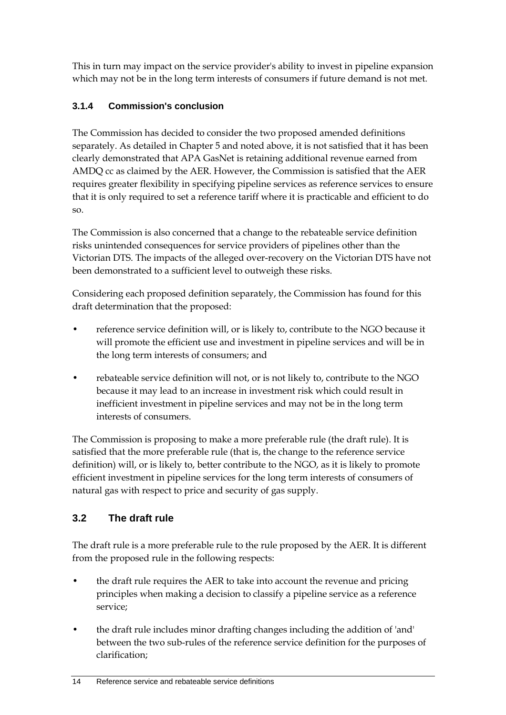This in turn may impact on the service provider's ability to invest in pipeline expansion which may not be in the long term interests of consumers if future demand is not met.

### **3.1.4 Commission's conclusion**

The Commission has decided to consider the two proposed amended definitions separately. As detailed in Chapter 5 and noted above, it is not satisfied that it has been clearly demonstrated that APA GasNet is retaining additional revenue earned from AMDQ cc as claimed by the AER. However, the Commission is satisfied that the AER requires greater flexibility in specifying pipeline services as reference services to ensure that it is only required to set a reference tariff where it is practicable and efficient to do so.

The Commission is also concerned that a change to the rebateable service definition risks unintended consequences for service providers of pipelines other than the Victorian DTS. The impacts of the alleged over-recovery on the Victorian DTS have not been demonstrated to a sufficient level to outweigh these risks.

Considering each proposed definition separately, the Commission has found for this draft determination that the proposed:

- reference service definition will, or is likely to, contribute to the NGO because it will promote the efficient use and investment in pipeline services and will be in the long term interests of consumers; and
- rebateable service definition will not, or is not likely to, contribute to the NGO because it may lead to an increase in investment risk which could result in inefficient investment in pipeline services and may not be in the long term interests of consumers.

The Commission is proposing to make a more preferable rule (the draft rule). It is satisfied that the more preferable rule (that is, the change to the reference service definition) will, or is likely to, better contribute to the NGO, as it is likely to promote efficient investment in pipeline services for the long term interests of consumers of natural gas with respect to price and security of gas supply.

## <span id="page-19-0"></span>**3.2 The draft rule**

The draft rule is a more preferable rule to the rule proposed by the AER. It is different from the proposed rule in the following respects:

- the draft rule requires the AER to take into account the revenue and pricing principles when making a decision to classify a pipeline service as a reference service;
- the draft rule includes minor drafting changes including the addition of 'and' between the two sub-rules of the reference service definition for the purposes of clarification;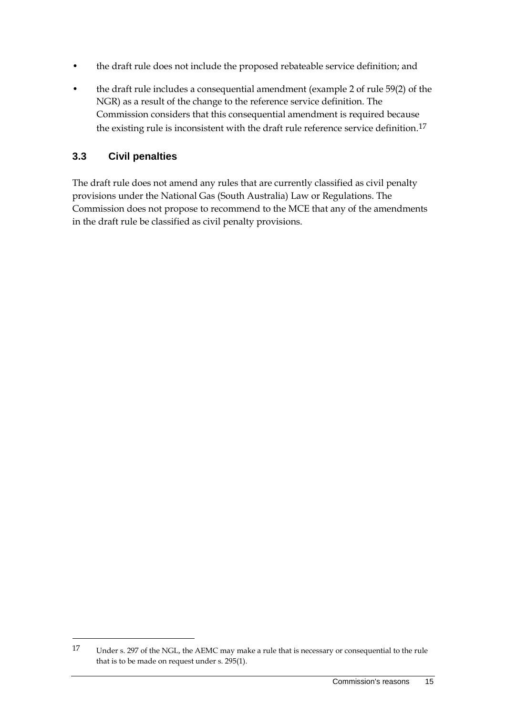- the draft rule does not include the proposed rebateable service definition; and
- the draft rule includes a consequential amendment (example 2 of rule 59(2) of the NGR) as a result of the change to the reference service definition. The Commission considers that this consequential amendment is required because the existing rule is inconsistent with the draft rule reference service definition.<sup>[17](#page-20-1)</sup>

### <span id="page-20-0"></span>**3.3 Civil penalties**

-

The draft rule does not amend any rules that are currently classified as civil penalty provisions under the National Gas (South Australia) Law or Regulations. The Commission does not propose to recommend to the MCE that any of the amendments in the draft rule be classified as civil penalty provisions.

<span id="page-20-1"></span><sup>17</sup> Under s. 297 of the NGL, the AEMC may make a rule that is necessary or consequential to the rule that is to be made on request under s. 295(1).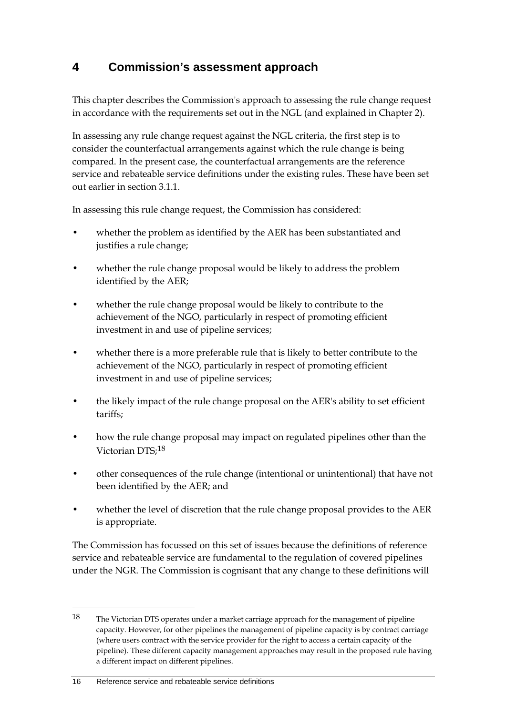# <span id="page-21-0"></span>**4 Commission's assessment approach**

This chapter describes the Commission's approach to assessing the rule change request in accordance with the requirements set out in the NGL (and explained in Chapter 2).

In assessing any rule change request against the NGL criteria, the first step is to consider the counterfactual arrangements against which the rule change is being compared. In the present case, the counterfactual arrangements are the reference service and rebateable service definitions under the existing rules. These have been set out earlier in section 3.1.1.

In assessing this rule change request, the Commission has considered:

- whether the problem as identified by the AER has been substantiated and justifies a rule change;
- whether the rule change proposal would be likely to address the problem identified by the AER;
- whether the rule change proposal would be likely to contribute to the achievement of the NGO, particularly in respect of promoting efficient investment in and use of pipeline services;
- whether there is a more preferable rule that is likely to better contribute to the achievement of the NGO, particularly in respect of promoting efficient investment in and use of pipeline services;
- the likely impact of the rule change proposal on the AER's ability to set efficient tariffs;
- how the rule change proposal may impact on regulated pipelines other than the Victorian DTS;[18](#page-21-1)
- other consequences of the rule change (intentional or unintentional) that have not been identified by the AER; and
- whether the level of discretion that the rule change proposal provides to the AER is appropriate.

The Commission has focussed on this set of issues because the definitions of reference service and rebateable service are fundamental to the regulation of covered pipelines under the NGR. The Commission is cognisant that any change to these definitions will

<span id="page-21-1"></span><sup>18</sup> The Victorian DTS operates under a market carriage approach for the management of pipeline capacity. However, for other pipelines the management of pipeline capacity is by contract carriage (where users contract with the service provider for the right to access a certain capacity of the pipeline). These different capacity management approaches may result in the proposed rule having a different impact on different pipelines.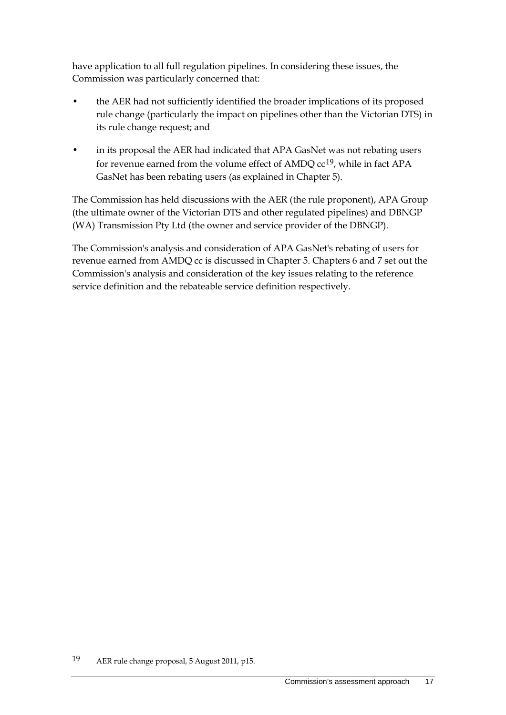have application to all full regulation pipelines. In considering these issues, the Commission was particularly concerned that:

- the AER had not sufficiently identified the broader implications of its proposed rule change (particularly the impact on pipelines other than the Victorian DTS) in its rule change request; and
- in its proposal the AER had indicated that APA GasNet was not rebating users for revenue earned from the volume effect of AMDQ  $cc^{19}$ , while in fact APA GasNet has been rebating users (as explained in Chapter 5).

The Commission has held discussions with the AER (the rule proponent), APA Group (the ultimate owner of the Victorian DTS and other regulated pipelines) and DBNGP (WA) Transmission Pty Ltd (the owner and service provider of the DBNGP).

The Commission's analysis and consideration of APA GasNet's rebating of users for revenue earned from AMDQ cc is discussed in Chapter 5. Chapters 6 and 7 set out the Commission's analysis and consideration of the key issues relating to the reference service definition and the rebateable service definition respectively.

<span id="page-22-0"></span><sup>19</sup> AER rule change proposal, 5 August 2011, p15.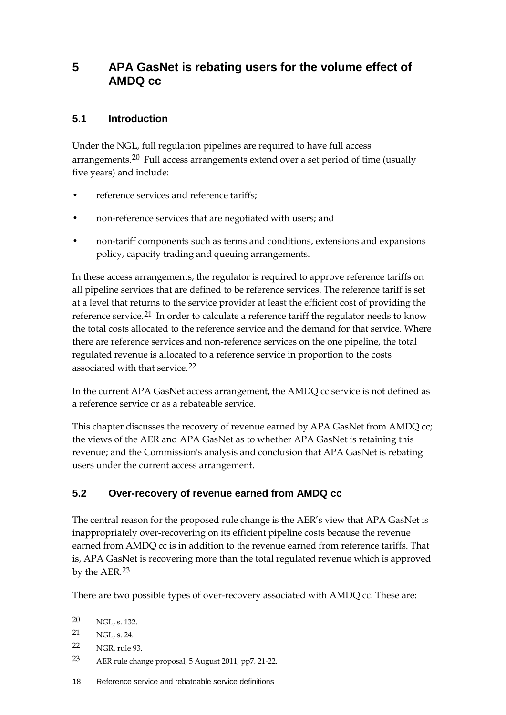## <span id="page-23-0"></span>**5 APA GasNet is rebating users for the volume effect of AMDQ cc**

### <span id="page-23-1"></span>**5.1 Introduction**

Under the NGL, full regulation pipelines are required to have full access arrangements.<sup>[20](#page-23-3)</sup> Full access arrangements extend over a set period of time (usually five years) and include:

- reference services and reference tariffs;
- non-reference services that are negotiated with users; and
- non-tariff components such as terms and conditions, extensions and expansions policy, capacity trading and queuing arrangements.

In these access arrangements, the regulator is required to approve reference tariffs on all pipeline services that are defined to be reference services. The reference tariff is set at a level that returns to the service provider at least the efficient cost of providing the reference service.<sup>[21](#page-23-4)</sup> In order to calculate a reference tariff the regulator needs to know the total costs allocated to the reference service and the demand for that service. Where there are reference services and non-reference services on the one pipeline, the total regulated revenue is allocated to a reference service in proportion to the costs associated with that service.<sup>[22](#page-23-5)</sup>

In the current APA GasNet access arrangement, the AMDQ cc service is not defined as a reference service or as a rebateable service.

This chapter discusses the recovery of revenue earned by APA GasNet from AMDQ cc; the views of the AER and APA GasNet as to whether APA GasNet is retaining this revenue; and the Commission's analysis and conclusion that APA GasNet is rebating users under the current access arrangement.

### <span id="page-23-2"></span>**5.2 Over-recovery of revenue earned from AMDQ cc**

The central reason for the proposed rule change is the AER's view that APA GasNet is inappropriately over-recovering on its efficient pipeline costs because the revenue earned from AMDQ cc is in addition to the revenue earned from reference tariffs. That is, APA GasNet is recovering more than the total regulated revenue which is approved by the AER.[23](#page-23-6)

There are two possible types of over-recovery associated with AMDQ cc. These are:

<span id="page-23-3"></span><sup>-</sup>20 NGL, s. 132.

<span id="page-23-4"></span><sup>21</sup> NGL, s. 24.

<span id="page-23-5"></span><sup>22</sup> NGR, rule 93.

<span id="page-23-6"></span><sup>23</sup> AER rule change proposal, 5 August 2011, pp7, 21-22.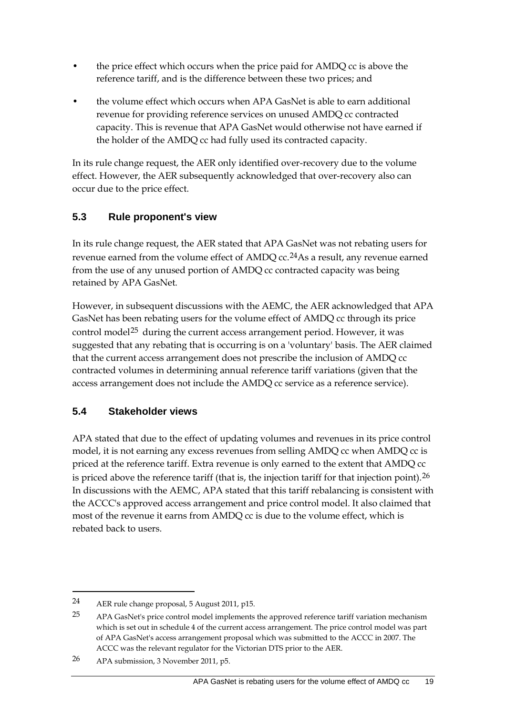- the price effect which occurs when the price paid for AMDQ cc is above the reference tariff, and is the difference between these two prices; and
- the volume effect which occurs when APA GasNet is able to earn additional revenue for providing reference services on unused AMDQ cc contracted capacity. This is revenue that APA GasNet would otherwise not have earned if the holder of the AMDQ cc had fully used its contracted capacity.

In its rule change request, the AER only identified over-recovery due to the volume effect. However, the AER subsequently acknowledged that over-recovery also can occur due to the price effect.

### <span id="page-24-0"></span>**5.3 Rule proponent's view**

In its rule change request, the AER stated that APA GasNet was not rebating users for revenue earned from the volume effect of AMDQ cc.<sup>[24](#page-24-2)</sup>As a result, any revenue earned from the use of any unused portion of AMDQ cc contracted capacity was being retained by APA GasNet.

However, in subsequent discussions with the AEMC, the AER acknowledged that APA GasNet has been rebating users for the volume effect of AMDQ cc through its price control model<sup>[25](#page-24-3)</sup> during the current access arrangement period. However, it was suggested that any rebating that is occurring is on a 'voluntary' basis. The AER claimed that the current access arrangement does not prescribe the inclusion of AMDQ cc contracted volumes in determining annual reference tariff variations (given that the access arrangement does not include the AMDQ cc service as a reference service).

## <span id="page-24-1"></span>**5.4 Stakeholder views**

APA stated that due to the effect of updating volumes and revenues in its price control model, it is not earning any excess revenues from selling AMDQ cc when AMDQ cc is priced at the reference tariff. Extra revenue is only earned to the extent that AMDQ cc is priced above the reference tariff (that is, the injection tariff for that injection point).<sup>[26](#page-24-4)</sup> In discussions with the AEMC, APA stated that this tariff rebalancing is consistent with the ACCC's approved access arrangement and price control model. It also claimed that most of the revenue it earns from AMDQ cc is due to the volume effect, which is rebated back to users.

<span id="page-24-2"></span><sup>24</sup> AER rule change proposal, 5 August 2011, p15.

<span id="page-24-3"></span><sup>25</sup> APA GasNet's price control model implements the approved reference tariff variation mechanism which is set out in schedule 4 of the current access arrangement. The price control model was part of APA GasNet's access arrangement proposal which was submitted to the ACCC in 2007. The ACCC was the relevant regulator for the Victorian DTS prior to the AER.

<span id="page-24-4"></span><sup>26</sup> APA submission, 3 November 2011, p5.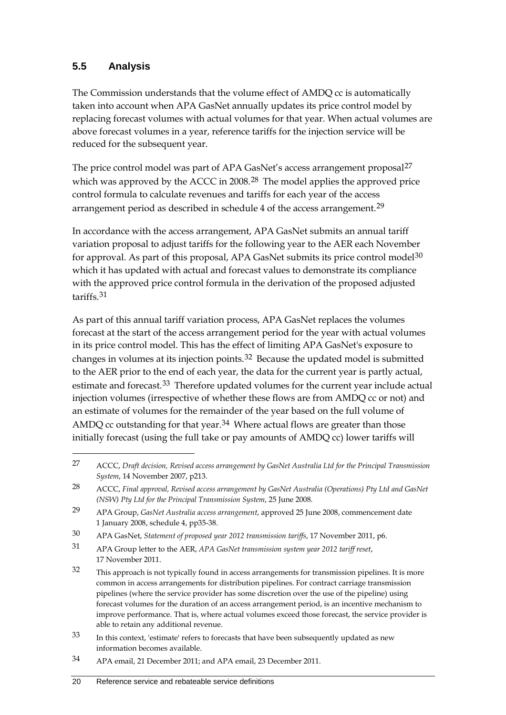### <span id="page-25-0"></span>**5.5 Analysis**

-

The Commission understands that the volume effect of AMDQ cc is automatically taken into account when APA GasNet annually updates its price control model by replacing forecast volumes with actual volumes for that year. When actual volumes are above forecast volumes in a year, reference tariffs for the injection service will be reduced for the subsequent year.

The price control model was part of APA GasNet's access arrangement proposal<sup>[27](#page-25-1)</sup> which was approved by the ACCC in 2008.<sup>[28](#page-25-2)</sup> The model applies the approved price control formula to calculate revenues and tariffs for each year of the access arrangement period as described in schedule 4 of the access arrangement.<sup>[29](#page-25-3)</sup>

In accordance with the access arrangement, APA GasNet submits an annual tariff variation proposal to adjust tariffs for the following year to the AER each November for approval. As part of this proposal, APA GasNet submits its price control model<sup>[30](#page-25-4)</sup> which it has updated with actual and forecast values to demonstrate its compliance with the approved price control formula in the derivation of the proposed adjusted tariffs.[31](#page-25-5)

As part of this annual tariff variation process, APA GasNet replaces the volumes forecast at the start of the access arrangement period for the year with actual volumes in its price control model. This has the effect of limiting APA GasNet's exposure to changes in volumes at its injection points.[32](#page-25-6) Because the updated model is submitted to the AER prior to the end of each year, the data for the current year is partly actual, estimate and forecast.<sup>[33](#page-25-7)</sup> Therefore updated volumes for the current year include actual injection volumes (irrespective of whether these flows are from AMDQ cc or not) and an estimate of volumes for the remainder of the year based on the full volume of AMDQ cc outstanding for that year.<sup>[34](#page-25-8)</sup> Where actual flows are greater than those initially forecast (using the full take or pay amounts of AMDQ cc) lower tariffs will

<span id="page-25-5"></span>31 APA Group letter to the AER, *APA GasNet transmission system year 2012 tariff reset*, 17 November 2011.

<span id="page-25-1"></span><sup>27</sup> ACCC, *Draft decision, Revised access arrangement by GasNet Australia Ltd for the Principal Transmission System*, 14 November 2007, p213.

<span id="page-25-2"></span><sup>28</sup> ACCC, *Final approval, Revised access arrangement by GasNet Australia (Operations) Pty Ltd and GasNet (NSW) Pty Ltd for the Principal Transmission System*, 25 June 2008.

<span id="page-25-3"></span><sup>29</sup> APA Group, *GasNet Australia access arrangement*, approved 25 June 2008, commencement date 1 January 2008, schedule 4, pp35-38.

<span id="page-25-4"></span><sup>30</sup> APA GasNet, *Statement of proposed year 2012 transmission tariffs*, 17 November 2011, p6.

<span id="page-25-6"></span><sup>32</sup> This approach is not typically found in access arrangements for transmission pipelines. It is more common in access arrangements for distribution pipelines. For contract carriage transmission pipelines (where the service provider has some discretion over the use of the pipeline) using forecast volumes for the duration of an access arrangement period, is an incentive mechanism to improve performance. That is, where actual volumes exceed those forecast, the service provider is able to retain any additional revenue.

<span id="page-25-7"></span><sup>33</sup> In this context, 'estimate' refers to forecasts that have been subsequently updated as new information becomes available.

<span id="page-25-8"></span><sup>34</sup> APA email, 21 December 2011; and APA email, 23 December 2011.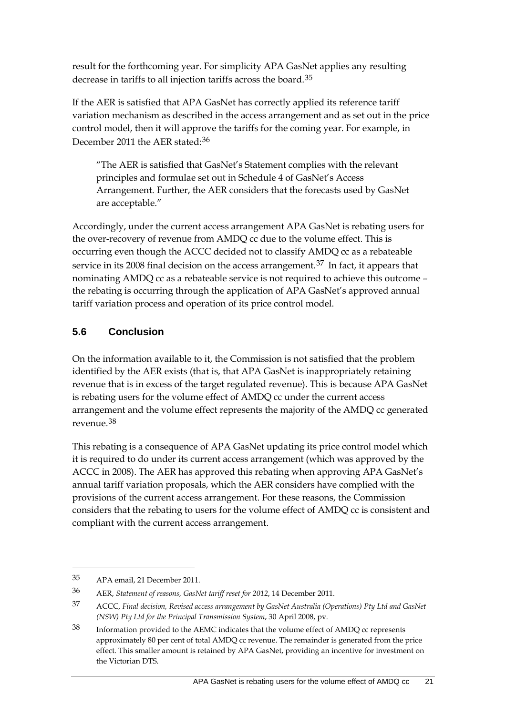result for the forthcoming year. For simplicity APA GasNet applies any resulting decrease in tariffs to all injection tariffs across the board.[35](#page-26-1)

If the AER is satisfied that APA GasNet has correctly applied its reference tariff variation mechanism as described in the access arrangement and as set out in the price control model, then it will approve the tariffs for the coming year. For example, in December 2011 the AER stated:<sup>[36](#page-26-2)</sup>

"The AER is satisfied that GasNet's Statement complies with the relevant principles and formulae set out in Schedule 4 of GasNet's Access Arrangement. Further, the AER considers that the forecasts used by GasNet are acceptable."

Accordingly, under the current access arrangement APA GasNet is rebating users for the over-recovery of revenue from AMDQ cc due to the volume effect. This is occurring even though the ACCC decided not to classify AMDQ cc as a rebateable service in its 2008 final decision on the access arrangement.<sup>[37](#page-26-3)</sup> In fact, it appears that nominating AMDQ cc as a rebateable service is not required to achieve this outcome – the rebating is occurring through the application of APA GasNet's approved annual tariff variation process and operation of its price control model.

### <span id="page-26-0"></span>**5.6 Conclusion**

On the information available to it, the Commission is not satisfied that the problem identified by the AER exists (that is, that APA GasNet is inappropriately retaining revenue that is in excess of the target regulated revenue). This is because APA GasNet is rebating users for the volume effect of AMDQ cc under the current access arrangement and the volume effect represents the majority of the AMDQ cc generated revenue.[38](#page-26-4)

This rebating is a consequence of APA GasNet updating its price control model which it is required to do under its current access arrangement (which was approved by the ACCC in 2008). The AER has approved this rebating when approving APA GasNet's annual tariff variation proposals, which the AER considers have complied with the provisions of the current access arrangement. For these reasons, the Commission considers that the rebating to users for the volume effect of AMDQ cc is consistent and compliant with the current access arrangement.

<span id="page-26-1"></span><sup>35</sup> APA email, 21 December 2011.

<span id="page-26-2"></span><sup>36</sup> AER, *Statement of reasons, GasNet tariff reset for 2012*, 14 December 2011.

<span id="page-26-3"></span><sup>37</sup> ACCC, *Final decision, Revised access arrangement by GasNet Australia (Operations) Pty Ltd and GasNet (NSW) Pty Ltd for the Principal Transmission System*, 30 April 2008, pv.

<span id="page-26-4"></span><sup>38</sup> Information provided to the AEMC indicates that the volume effect of AMDQ cc represents approximately 80 per cent of total AMDQ cc revenue. The remainder is generated from the price effect. This smaller amount is retained by APA GasNet, providing an incentive for investment on the Victorian DTS.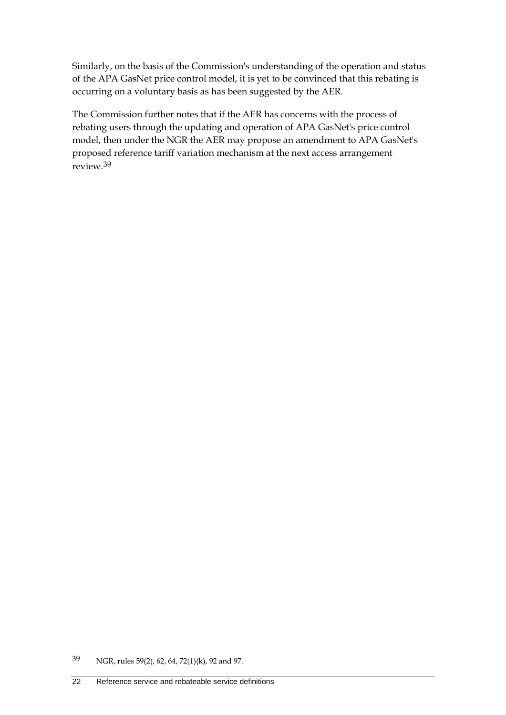Similarly, on the basis of the Commission's understanding of the operation and status of the APA GasNet price control model, it is yet to be convinced that this rebating is occurring on a voluntary basis as has been suggested by the AER.

The Commission further notes that if the AER has concerns with the process of rebating users through the updating and operation of APA GasNet's price control model, then under the NGR the AER may propose an amendment to APA GasNet's proposed reference tariff variation mechanism at the next access arrangement review.[39](#page-27-0)

<span id="page-27-0"></span><sup>39</sup> NGR, rules 59(2), 62, 64, 72(1)(k), 92 and 97.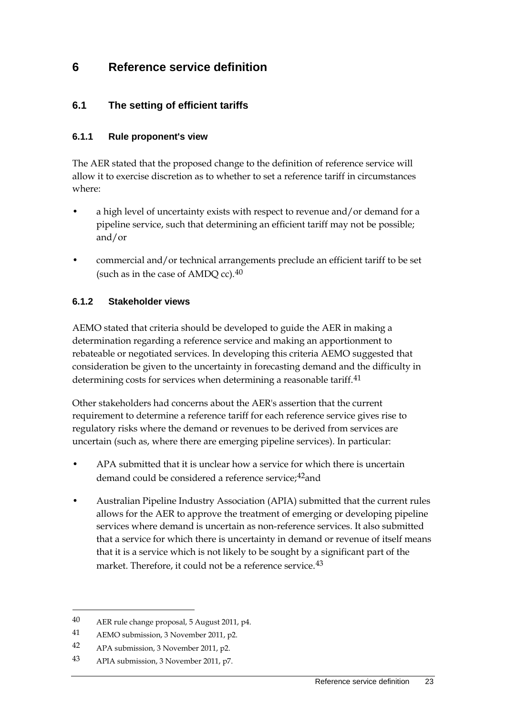## <span id="page-28-0"></span>**6 Reference service definition**

### <span id="page-28-1"></span>**6.1 The setting of efficient tariffs**

#### **6.1.1 Rule proponent's view**

The AER stated that the proposed change to the definition of reference service will allow it to exercise discretion as to whether to set a reference tariff in circumstances where:

- a high level of uncertainty exists with respect to revenue and/or demand for a pipeline service, such that determining an efficient tariff may not be possible; and/or
- commercial and/or technical arrangements preclude an efficient tariff to be set (such as in the case of AMDQ cc).[40](#page-28-2)

#### **6.1.2 Stakeholder views**

AEMO stated that criteria should be developed to guide the AER in making a determination regarding a reference service and making an apportionment to rebateable or negotiated services. In developing this criteria AEMO suggested that consideration be given to the uncertainty in forecasting demand and the difficulty in determining costs for services when determining a reasonable tariff.<sup>[41](#page-28-3)</sup>

Other stakeholders had concerns about the AER's assertion that the current requirement to determine a reference tariff for each reference service gives rise to regulatory risks where the demand or revenues to be derived from services are uncertain (such as, where there are emerging pipeline services). In particular:

- APA submitted that it is unclear how a service for which there is uncertain demand could be considered a reference service;<sup>[42](#page-28-4)</sup>and
- Australian Pipeline Industry Association (APIA) submitted that the current rules allows for the AER to approve the treatment of emerging or developing pipeline services where demand is uncertain as non-reference services. It also submitted that a service for which there is uncertainty in demand or revenue of itself means that it is a service which is not likely to be sought by a significant part of the market. Therefore, it could not be a reference service.<sup>[43](#page-28-5)</sup>

<span id="page-28-2"></span><sup>40</sup> AER rule change proposal, 5 August 2011, p4.

<span id="page-28-3"></span><sup>41</sup> AEMO submission, 3 November 2011, p2.

<span id="page-28-4"></span><sup>42</sup> APA submission, 3 November 2011, p2.

<span id="page-28-5"></span><sup>43</sup> APIA submission, 3 November 2011, p7.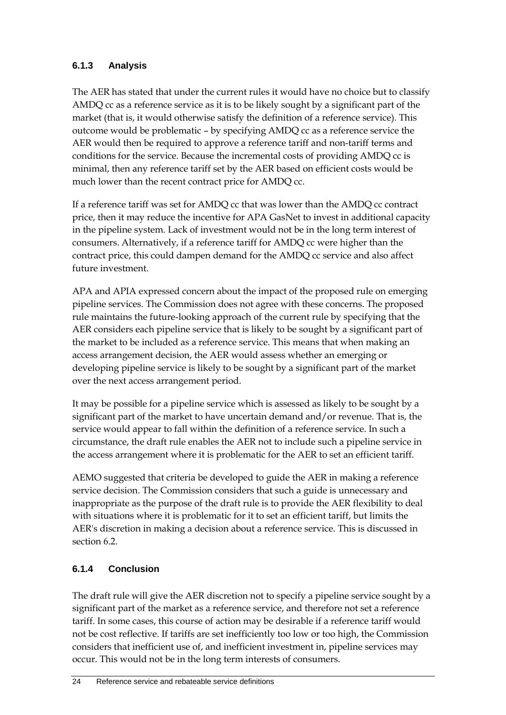### **6.1.3 Analysis**

The AER has stated that under the current rules it would have no choice but to classify AMDQ cc as a reference service as it is to be likely sought by a significant part of the market (that is, it would otherwise satisfy the definition of a reference service). This outcome would be problematic – by specifying AMDQ cc as a reference service the AER would then be required to approve a reference tariff and non-tariff terms and conditions for the service. Because the incremental costs of providing AMDQ cc is minimal, then any reference tariff set by the AER based on efficient costs would be much lower than the recent contract price for AMDQ cc.

If a reference tariff was set for AMDQ cc that was lower than the AMDQ cc contract price, then it may reduce the incentive for APA GasNet to invest in additional capacity in the pipeline system. Lack of investment would not be in the long term interest of consumers. Alternatively, if a reference tariff for AMDQ cc were higher than the contract price, this could dampen demand for the AMDQ cc service and also affect future investment.

APA and APIA expressed concern about the impact of the proposed rule on emerging pipeline services. The Commission does not agree with these concerns. The proposed rule maintains the future-looking approach of the current rule by specifying that the AER considers each pipeline service that is likely to be sought by a significant part of the market to be included as a reference service. This means that when making an access arrangement decision, the AER would assess whether an emerging or developing pipeline service is likely to be sought by a significant part of the market over the next access arrangement period.

It may be possible for a pipeline service which is assessed as likely to be sought by a significant part of the market to have uncertain demand and/or revenue. That is, the service would appear to fall within the definition of a reference service. In such a circumstance, the draft rule enables the AER not to include such a pipeline service in the access arrangement where it is problematic for the AER to set an efficient tariff.

AEMO suggested that criteria be developed to guide the AER in making a reference service decision. The Commission considers that such a guide is unnecessary and inappropriate as the purpose of the draft rule is to provide the AER flexibility to deal with situations where it is problematic for it to set an efficient tariff, but limits the AER's discretion in making a decision about a reference service. This is discussed in section 6.2.

### **6.1.4 Conclusion**

The draft rule will give the AER discretion not to specify a pipeline service sought by a significant part of the market as a reference service, and therefore not set a reference tariff. In some cases, this course of action may be desirable if a reference tariff would not be cost reflective. If tariffs are set inefficiently too low or too high, the Commission considers that inefficient use of, and inefficient investment in, pipeline services may occur. This would not be in the long term interests of consumers.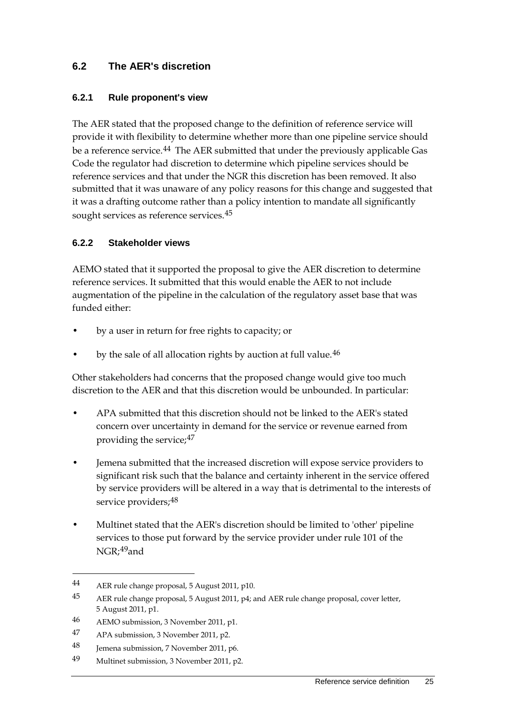### <span id="page-30-0"></span>**6.2 The AER's discretion**

#### **6.2.1 Rule proponent's view**

The AER stated that the proposed change to the definition of reference service will provide it with flexibility to determine whether more than one pipeline service should be a reference service.<sup>[44](#page-30-1)</sup> The AER submitted that under the previously applicable Gas Code the regulator had discretion to determine which pipeline services should be reference services and that under the NGR this discretion has been removed. It also submitted that it was unaware of any policy reasons for this change and suggested that it was a drafting outcome rather than a policy intention to mandate all significantly sought services as reference services.<sup>[45](#page-30-2)</sup>

#### **6.2.2 Stakeholder views**

AEMO stated that it supported the proposal to give the AER discretion to determine reference services. It submitted that this would enable the AER to not include augmentation of the pipeline in the calculation of the regulatory asset base that was funded either:

- by a user in return for free rights to capacity; or
- by the sale of all allocation rights by auction at full value.<sup>[46](#page-30-3)</sup>

Other stakeholders had concerns that the proposed change would give too much discretion to the AER and that this discretion would be unbounded. In particular:

- APA submitted that this discretion should not be linked to the AER's stated concern over uncertainty in demand for the service or revenue earned from providing the service;[47](#page-30-4)
- Jemena submitted that the increased discretion will expose service providers to significant risk such that the balance and certainty inherent in the service offered by service providers will be altered in a way that is detrimental to the interests of service providers; [48](#page-30-5)
- Multinet stated that the AER's discretion should be limited to 'other' pipeline services to those put forward by the service provider under rule 101 of the NGR;<sup>49</sup>and

<span id="page-30-1"></span><sup>44</sup> AER rule change proposal, 5 August 2011, p10.

<span id="page-30-2"></span><sup>45</sup> AER rule change proposal, 5 August 2011, p4; and AER rule change proposal, cover letter, 5 August 2011, p1.

<span id="page-30-3"></span><sup>46</sup> AEMO submission, 3 November 2011, p1.

<span id="page-30-4"></span><sup>47</sup> APA submission, 3 November 2011, p2.

<span id="page-30-5"></span><sup>48</sup> Jemena submission, 7 November 2011, p6.

<span id="page-30-6"></span><sup>49</sup> Multinet submission, 3 November 2011, p2.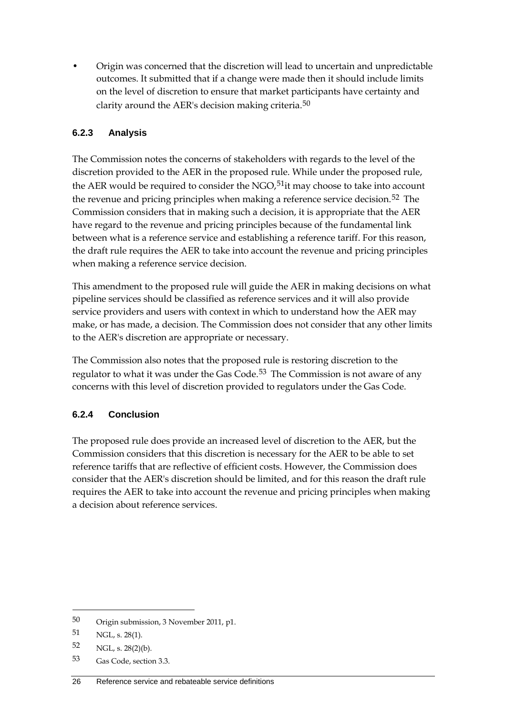• Origin was concerned that the discretion will lead to uncertain and unpredictable outcomes. It submitted that if a change were made then it should include limits on the level of discretion to ensure that market participants have certainty and clarity around the AER's decision making criteria.[50](#page-31-0)

### **6.2.3 Analysis**

The Commission notes the concerns of stakeholders with regards to the level of the discretion provided to the AER in the proposed rule. While under the proposed rule, the AER would be required to consider the NGO, $51$ it may choose to take into account the revenue and pricing principles when making a reference service decision.<sup>[52](#page-31-2)</sup> The Commission considers that in making such a decision, it is appropriate that the AER have regard to the revenue and pricing principles because of the fundamental link between what is a reference service and establishing a reference tariff. For this reason, the draft rule requires the AER to take into account the revenue and pricing principles when making a reference service decision.

This amendment to the proposed rule will guide the AER in making decisions on what pipeline services should be classified as reference services and it will also provide service providers and users with context in which to understand how the AER may make, or has made, a decision. The Commission does not consider that any other limits to the AER's discretion are appropriate or necessary.

The Commission also notes that the proposed rule is restoring discretion to the regulator to what it was under the Gas Code.<sup>[53](#page-31-3)</sup> The Commission is not aware of any concerns with this level of discretion provided to regulators under the Gas Code.

### **6.2.4 Conclusion**

The proposed rule does provide an increased level of discretion to the AER, but the Commission considers that this discretion is necessary for the AER to be able to set reference tariffs that are reflective of efficient costs. However, the Commission does consider that the AER's discretion should be limited, and for this reason the draft rule requires the AER to take into account the revenue and pricing principles when making a decision about reference services.

<span id="page-31-0"></span><sup>50</sup> Origin submission, 3 November 2011, p1.

<span id="page-31-1"></span><sup>51</sup> NGL, s. 28(1).

<span id="page-31-2"></span><sup>52</sup> NGL, s. 28(2)(b).

<span id="page-31-3"></span><sup>53</sup> Gas Code, section 3.3.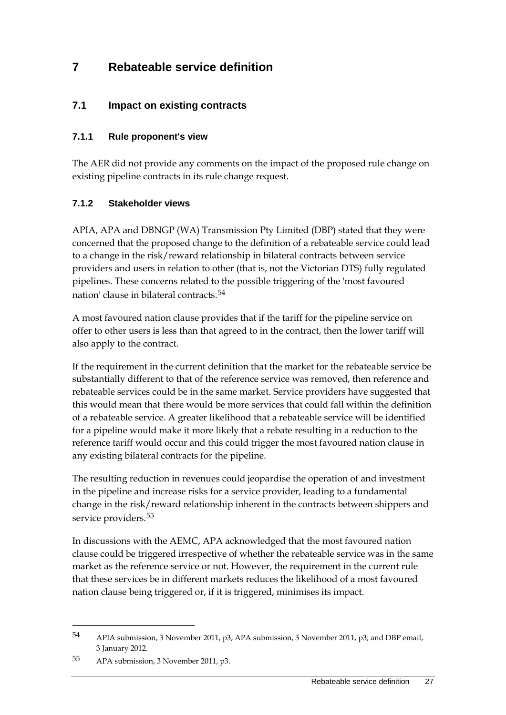# <span id="page-32-0"></span>**7 Rebateable service definition**

### <span id="page-32-1"></span>**7.1 Impact on existing contracts**

### **7.1.1 Rule proponent's view**

The AER did not provide any comments on the impact of the proposed rule change on existing pipeline contracts in its rule change request.

### **7.1.2 Stakeholder views**

APIA, APA and DBNGP (WA) Transmission Pty Limited (DBP) stated that they were concerned that the proposed change to the definition of a rebateable service could lead to a change in the risk/reward relationship in bilateral contracts between service providers and users in relation to other (that is, not the Victorian DTS) fully regulated pipelines. These concerns related to the possible triggering of the 'most favoured nation' clause in bilateral contracts.[54](#page-32-2)

A most favoured nation clause provides that if the tariff for the pipeline service on offer to other users is less than that agreed to in the contract, then the lower tariff will also apply to the contract.

If the requirement in the current definition that the market for the rebateable service be substantially different to that of the reference service was removed, then reference and rebateable services could be in the same market. Service providers have suggested that this would mean that there would be more services that could fall within the definition of a rebateable service. A greater likelihood that a rebateable service will be identified for a pipeline would make it more likely that a rebate resulting in a reduction to the reference tariff would occur and this could trigger the most favoured nation clause in any existing bilateral contracts for the pipeline.

The resulting reduction in revenues could jeopardise the operation of and investment in the pipeline and increase risks for a service provider, leading to a fundamental change in the risk/reward relationship inherent in the contracts between shippers and service providers.<sup>[55](#page-32-3)</sup>

In discussions with the AEMC, APA acknowledged that the most favoured nation clause could be triggered irrespective of whether the rebateable service was in the same market as the reference service or not. However, the requirement in the current rule that these services be in different markets reduces the likelihood of a most favoured nation clause being triggered or, if it is triggered, minimises its impact.

<span id="page-32-2"></span><sup>54</sup> APIA submission, 3 November 2011, p3; APA submission, 3 November 2011, p3; and DBP email, 3 January 2012.

<span id="page-32-3"></span><sup>55</sup> APA submission, 3 November 2011, p3.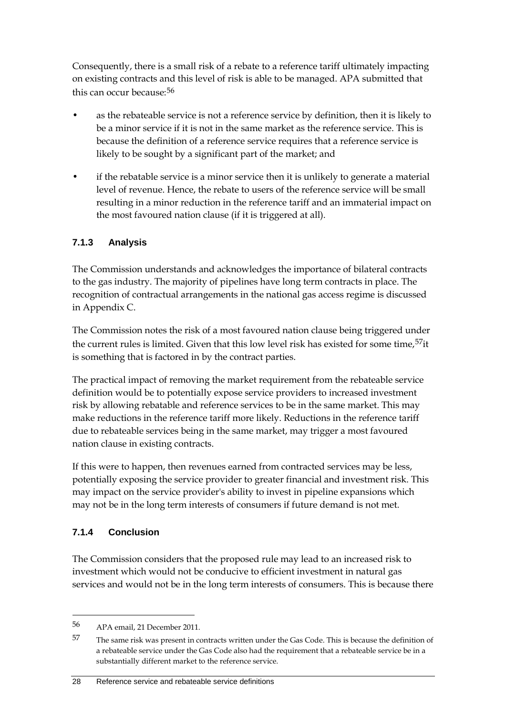Consequently, there is a small risk of a rebate to a reference tariff ultimately impacting on existing contracts and this level of risk is able to be managed. APA submitted that this can occur because:<sup>[56](#page-33-0)</sup>

- as the rebateable service is not a reference service by definition, then it is likely to be a minor service if it is not in the same market as the reference service. This is because the definition of a reference service requires that a reference service is likely to be sought by a significant part of the market; and
- if the rebatable service is a minor service then it is unlikely to generate a material level of revenue. Hence, the rebate to users of the reference service will be small resulting in a minor reduction in the reference tariff and an immaterial impact on the most favoured nation clause (if it is triggered at all).

### **7.1.3 Analysis**

The Commission understands and acknowledges the importance of bilateral contracts to the gas industry. The majority of pipelines have long term contracts in place. The recognition of contractual arrangements in the national gas access regime is discussed in Appendix C.

The Commission notes the risk of a most favoured nation clause being triggered under the current rules is limited. Given that this low level risk has existed for some time,<sup>57</sup>it is something that is factored in by the contract parties.

The practical impact of removing the market requirement from the rebateable service definition would be to potentially expose service providers to increased investment risk by allowing rebatable and reference services to be in the same market. This may make reductions in the reference tariff more likely. Reductions in the reference tariff due to rebateable services being in the same market, may trigger a most favoured nation clause in existing contracts.

If this were to happen, then revenues earned from contracted services may be less, potentially exposing the service provider to greater financial and investment risk. This may impact on the service provider's ability to invest in pipeline expansions which may not be in the long term interests of consumers if future demand is not met.

### **7.1.4 Conclusion**

-

The Commission considers that the proposed rule may lead to an increased risk to investment which would not be conducive to efficient investment in natural gas services and would not be in the long term interests of consumers. This is because there

<span id="page-33-0"></span><sup>56</sup> APA email, 21 December 2011.

<span id="page-33-1"></span><sup>57</sup> The same risk was present in contracts written under the Gas Code. This is because the definition of a rebateable service under the Gas Code also had the requirement that a rebateable service be in a substantially different market to the reference service.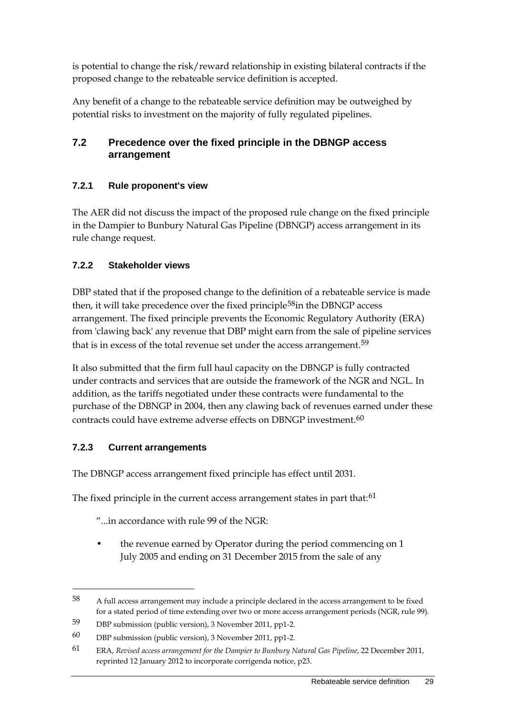is potential to change the risk/reward relationship in existing bilateral contracts if the proposed change to the rebateable service definition is accepted.

Any benefit of a change to the rebateable service definition may be outweighed by potential risks to investment on the majority of fully regulated pipelines.

### <span id="page-34-0"></span>**7.2 Precedence over the fixed principle in the DBNGP access arrangement**

### **7.2.1 Rule proponent's view**

The AER did not discuss the impact of the proposed rule change on the fixed principle in the Dampier to Bunbury Natural Gas Pipeline (DBNGP) access arrangement in its rule change request.

### **7.2.2 Stakeholder views**

DBP stated that if the proposed change to the definition of a rebateable service is made then, it will take precedence over the fixed principle<sup>58</sup>in the DBNGP access arrangement. The fixed principle prevents the Economic Regulatory Authority (ERA) from 'clawing back' any revenue that DBP might earn from the sale of pipeline services that is in excess of the total revenue set under the access arrangement.<sup>[59](#page-34-2)</sup>

It also submitted that the firm full haul capacity on the DBNGP is fully contracted under contracts and services that are outside the framework of the NGR and NGL. In addition, as the tariffs negotiated under these contracts were fundamental to the purchase of the DBNGP in 2004, then any clawing back of revenues earned under these contracts could have extreme adverse effects on DBNGP investment.<sup>[60](#page-34-3)</sup>

### **7.2.3 Current arrangements**

-

The DBNGP access arrangement fixed principle has effect until 2031.

The fixed principle in the current access arrangement states in part that:<sup>[61](#page-34-4)</sup>

"...in accordance with rule 99 of the NGR:

the revenue earned by Operator during the period commencing on 1 July 2005 and ending on 31 December 2015 from the sale of any

<span id="page-34-1"></span><sup>58</sup> A full access arrangement may include a principle declared in the access arrangement to be fixed for a stated period of time extending over two or more access arrangement periods (NGR, rule 99).

<span id="page-34-2"></span><sup>59</sup> DBP submission (public version), 3 November 2011, pp1-2.

<span id="page-34-3"></span><sup>60</sup> DBP submission (public version), 3 November 2011, pp1-2.

<span id="page-34-4"></span><sup>61</sup> ERA, *Revised access arrangement for the Dampier to Bunbury Natural Gas Pipeline*, 22 December 2011, reprinted 12 January 2012 to incorporate corrigenda notice, p23.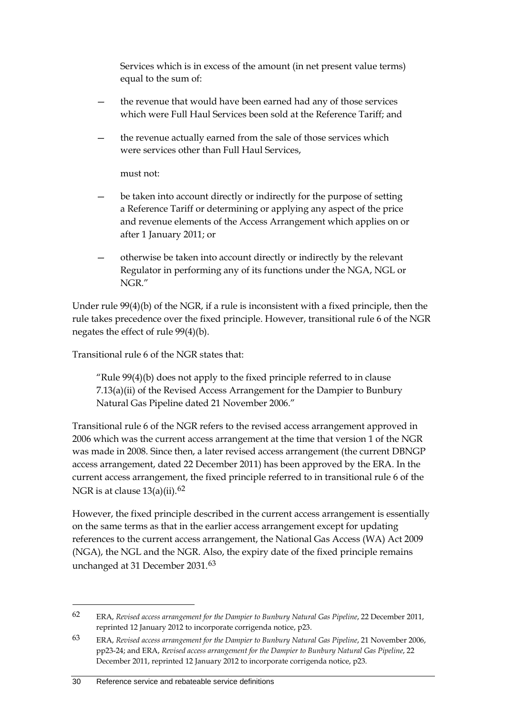Services which is in excess of the amount (in net present value terms) equal to the sum of:

- the revenue that would have been earned had any of those services which were Full Haul Services been sold at the Reference Tariff; and
- the revenue actually earned from the sale of those services which were services other than Full Haul Services,

must not:

- be taken into account directly or indirectly for the purpose of setting a Reference Tariff or determining or applying any aspect of the price and revenue elements of the Access Arrangement which applies on or after 1 January 2011; or
- otherwise be taken into account directly or indirectly by the relevant Regulator in performing any of its functions under the NGA, NGL or NGR."

Under rule 99(4)(b) of the NGR, if a rule is inconsistent with a fixed principle, then the rule takes precedence over the fixed principle. However, transitional rule 6 of the NGR negates the effect of rule 99(4)(b).

Transitional rule 6 of the NGR states that:

"Rule 99(4)(b) does not apply to the fixed principle referred to in clause 7.13(a)(ii) of the Revised Access Arrangement for the Dampier to Bunbury Natural Gas Pipeline dated 21 November 2006."

Transitional rule 6 of the NGR refers to the revised access arrangement approved in 2006 which was the current access arrangement at the time that version 1 of the NGR was made in 2008. Since then, a later revised access arrangement (the current DBNGP access arrangement, dated 22 December 2011) has been approved by the ERA. In the current access arrangement, the fixed principle referred to in transitional rule 6 of the NGR is at clause  $13(a)(ii)$ .<sup>[62](#page-35-0)</sup>

However, the fixed principle described in the current access arrangement is essentially on the same terms as that in the earlier access arrangement except for updating references to the current access arrangement, the National Gas Access (WA) Act 2009 (NGA), the NGL and the NGR. Also, the expiry date of the fixed principle remains unchanged at 31 December 2031.<sup>[63](#page-35-1)</sup>

<span id="page-35-0"></span><sup>62</sup> ERA, *Revised access arrangement for the Dampier to Bunbury Natural Gas Pipeline*, 22 December 2011, reprinted 12 January 2012 to incorporate corrigenda notice, p23.

<span id="page-35-1"></span><sup>63</sup> ERA, *Revised access arrangement for the Dampier to Bunbury Natural Gas Pipeline*, 21 November 2006, pp23-24; and ERA, *Revised access arrangement for the Dampier to Bunbury Natural Gas Pipeline*, 22 December 2011, reprinted 12 January 2012 to incorporate corrigenda notice, p23.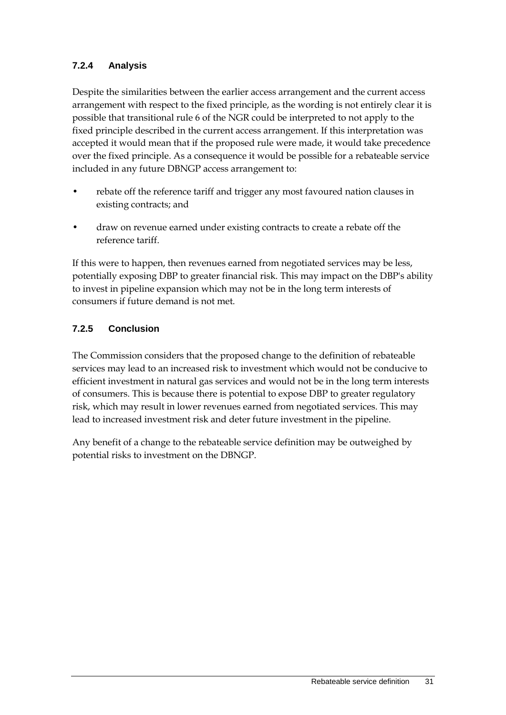### **7.2.4 Analysis**

Despite the similarities between the earlier access arrangement and the current access arrangement with respect to the fixed principle, as the wording is not entirely clear it is possible that transitional rule 6 of the NGR could be interpreted to not apply to the fixed principle described in the current access arrangement. If this interpretation was accepted it would mean that if the proposed rule were made, it would take precedence over the fixed principle. As a consequence it would be possible for a rebateable service included in any future DBNGP access arrangement to:

- rebate off the reference tariff and trigger any most favoured nation clauses in existing contracts; and
- draw on revenue earned under existing contracts to create a rebate off the reference tariff.

If this were to happen, then revenues earned from negotiated services may be less, potentially exposing DBP to greater financial risk. This may impact on the DBP's ability to invest in pipeline expansion which may not be in the long term interests of consumers if future demand is not met.

### **7.2.5 Conclusion**

The Commission considers that the proposed change to the definition of rebateable services may lead to an increased risk to investment which would not be conducive to efficient investment in natural gas services and would not be in the long term interests of consumers. This is because there is potential to expose DBP to greater regulatory risk, which may result in lower revenues earned from negotiated services. This may lead to increased investment risk and deter future investment in the pipeline.

Any benefit of a change to the rebateable service definition may be outweighed by potential risks to investment on the DBNGP.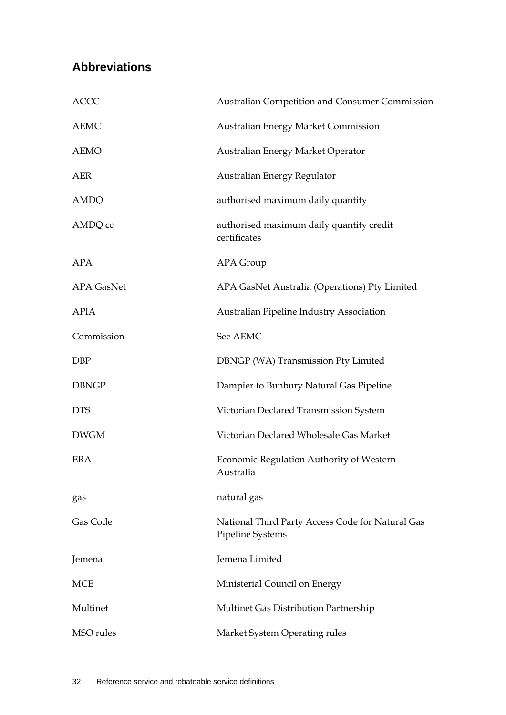# <span id="page-37-0"></span>**Abbreviations**

| <b>ACCC</b>       | Australian Competition and Consumer Commission                       |
|-------------------|----------------------------------------------------------------------|
| <b>AEMC</b>       | <b>Australian Energy Market Commission</b>                           |
| <b>AEMO</b>       | Australian Energy Market Operator                                    |
| <b>AER</b>        | Australian Energy Regulator                                          |
| AMDQ              | authorised maximum daily quantity                                    |
| AMDQ cc           | authorised maximum daily quantity credit<br>certificates             |
| <b>APA</b>        | APA Group                                                            |
| <b>APA GasNet</b> | APA GasNet Australia (Operations) Pty Limited                        |
| <b>APIA</b>       | Australian Pipeline Industry Association                             |
| Commission        | See AEMC                                                             |
| <b>DBP</b>        | DBNGP (WA) Transmission Pty Limited                                  |
| <b>DBNGP</b>      | Dampier to Bunbury Natural Gas Pipeline                              |
| <b>DTS</b>        | Victorian Declared Transmission System                               |
| <b>DWGM</b>       | Victorian Declared Wholesale Gas Market                              |
| <b>ERA</b>        | Economic Regulation Authority of Western<br>Australia                |
| gas               | natural gas                                                          |
| Gas Code          | National Third Party Access Code for Natural Gas<br>Pipeline Systems |
| Jemena            | Jemena Limited                                                       |
| <b>MCE</b>        | Ministerial Council on Energy                                        |
| Multinet          | Multinet Gas Distribution Partnership                                |
| MSO rules         | Market System Operating rules                                        |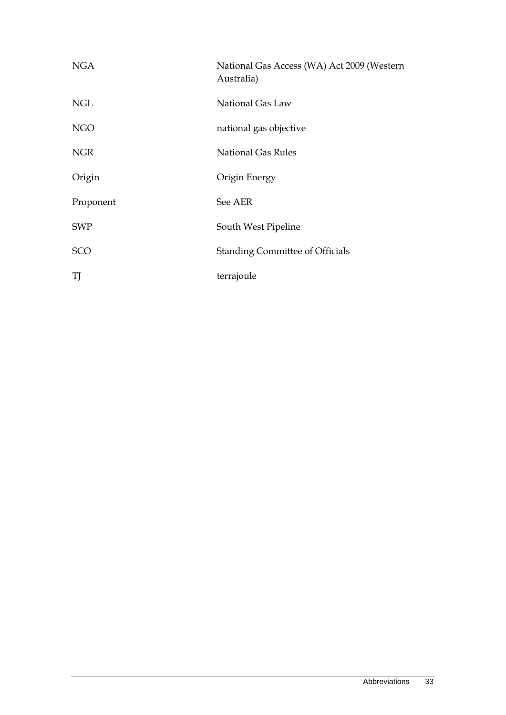| <b>NGA</b> | National Gas Access (WA) Act 2009 (Western<br>Australia) |
|------------|----------------------------------------------------------|
| <b>NGL</b> | National Gas Law                                         |
| <b>NGO</b> | national gas objective                                   |
| <b>NGR</b> | <b>National Gas Rules</b>                                |
| Origin     | Origin Energy                                            |
| Proponent  | See AER                                                  |
| <b>SWP</b> | South West Pipeline                                      |
| SCO        | <b>Standing Committee of Officials</b>                   |
| TJ         | terrajoule                                               |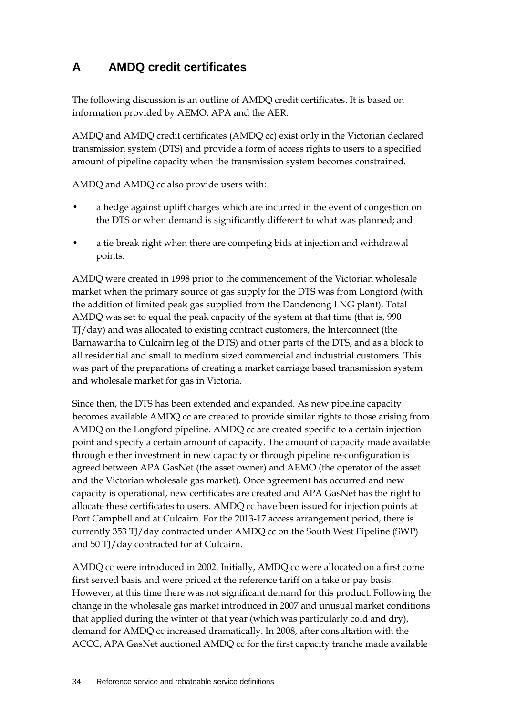# <span id="page-39-0"></span>**A AMDQ credit certificates**

The following discussion is an outline of AMDQ credit certificates. It is based on information provided by AEMO, APA and the AER.

AMDQ and AMDQ credit certificates (AMDQ cc) exist only in the Victorian declared transmission system (DTS) and provide a form of access rights to users to a specified amount of pipeline capacity when the transmission system becomes constrained.

AMDQ and AMDQ cc also provide users with:

- a hedge against uplift charges which are incurred in the event of congestion on the DTS or when demand is significantly different to what was planned; and
- a tie break right when there are competing bids at injection and withdrawal points.

AMDQ were created in 1998 prior to the commencement of the Victorian wholesale market when the primary source of gas supply for the DTS was from Longford (with the addition of limited peak gas supplied from the Dandenong LNG plant). Total AMDQ was set to equal the peak capacity of the system at that time (that is, 990 TJ/day) and was allocated to existing contract customers, the Interconnect (the Barnawartha to Culcairn leg of the DTS) and other parts of the DTS, and as a block to all residential and small to medium sized commercial and industrial customers. This was part of the preparations of creating a market carriage based transmission system and wholesale market for gas in Victoria.

Since then, the DTS has been extended and expanded. As new pipeline capacity becomes available AMDQ cc are created to provide similar rights to those arising from AMDQ on the Longford pipeline. AMDQ cc are created specific to a certain injection point and specify a certain amount of capacity. The amount of capacity made available through either investment in new capacity or through pipeline re-configuration is agreed between APA GasNet (the asset owner) and AEMO (the operator of the asset and the Victorian wholesale gas market). Once agreement has occurred and new capacity is operational, new certificates are created and APA GasNet has the right to allocate these certificates to users. AMDQ cc have been issued for injection points at Port Campbell and at Culcairn. For the 2013-17 access arrangement period, there is currently 353 TJ/day contracted under AMDQ cc on the South West Pipeline (SWP) and 50 TJ/day contracted for at Culcairn.

AMDQ cc were introduced in 2002. Initially, AMDQ cc were allocated on a first come first served basis and were priced at the reference tariff on a take or pay basis. However, at this time there was not significant demand for this product. Following the change in the wholesale gas market introduced in 2007 and unusual market conditions that applied during the winter of that year (which was particularly cold and dry), demand for AMDQ cc increased dramatically. In 2008, after consultation with the ACCC, APA GasNet auctioned AMDQ cc for the first capacity tranche made available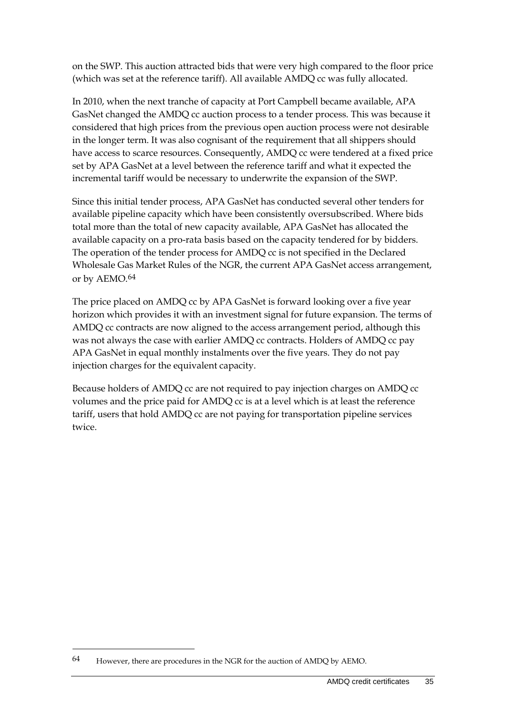on the SWP. This auction attracted bids that were very high compared to the floor price (which was set at the reference tariff). All available AMDQ cc was fully allocated.

In 2010, when the next tranche of capacity at Port Campbell became available, APA GasNet changed the AMDQ cc auction process to a tender process. This was because it considered that high prices from the previous open auction process were not desirable in the longer term. It was also cognisant of the requirement that all shippers should have access to scarce resources. Consequently, AMDQ cc were tendered at a fixed price set by APA GasNet at a level between the reference tariff and what it expected the incremental tariff would be necessary to underwrite the expansion of the SWP.

Since this initial tender process, APA GasNet has conducted several other tenders for available pipeline capacity which have been consistently oversubscribed. Where bids total more than the total of new capacity available, APA GasNet has allocated the available capacity on a pro-rata basis based on the capacity tendered for by bidders. The operation of the tender process for AMDQ cc is not specified in the Declared Wholesale Gas Market Rules of the NGR, the current APA GasNet access arrangement, or by AEMO.[64](#page-40-0)

The price placed on AMDQ cc by APA GasNet is forward looking over a five year horizon which provides it with an investment signal for future expansion. The terms of AMDQ cc contracts are now aligned to the access arrangement period, although this was not always the case with earlier AMDQ cc contracts. Holders of AMDQ cc pay APA GasNet in equal monthly instalments over the five years. They do not pay injection charges for the equivalent capacity.

Because holders of AMDQ cc are not required to pay injection charges on AMDQ cc volumes and the price paid for AMDQ cc is at a level which is at least the reference tariff, users that hold AMDQ cc are not paying for transportation pipeline services twice.

<span id="page-40-0"></span><sup>64</sup> However, there are procedures in the NGR for the auction of AMDQ by AEMO.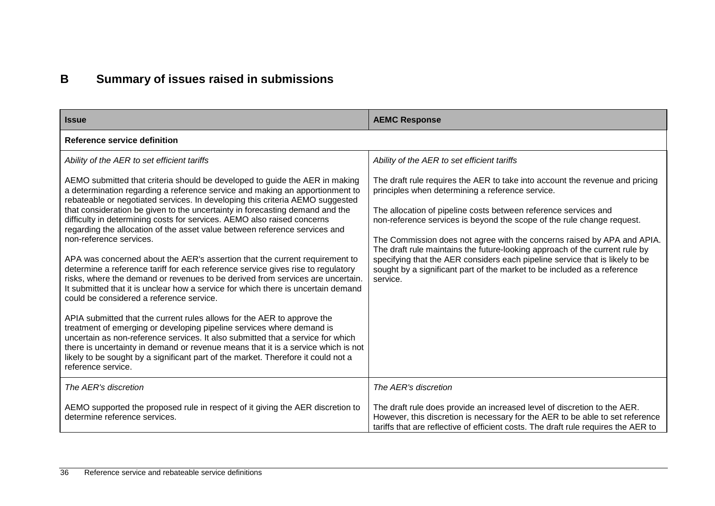# **B Summary of issues raised in submissions**

<span id="page-41-0"></span>

| <b>Issue</b>                                                                                                                                                                                                                                                                                                                                                                                                                                                                                                                                                                                                                                                                                                                                                                                                                                                                                                                                                                                                                                                                                                                                                                                 | <b>AEMC Response</b>                                                                                                                                                                                                                                                                                                                                                                                                                                                                                                                                                                                                                                           |
|----------------------------------------------------------------------------------------------------------------------------------------------------------------------------------------------------------------------------------------------------------------------------------------------------------------------------------------------------------------------------------------------------------------------------------------------------------------------------------------------------------------------------------------------------------------------------------------------------------------------------------------------------------------------------------------------------------------------------------------------------------------------------------------------------------------------------------------------------------------------------------------------------------------------------------------------------------------------------------------------------------------------------------------------------------------------------------------------------------------------------------------------------------------------------------------------|----------------------------------------------------------------------------------------------------------------------------------------------------------------------------------------------------------------------------------------------------------------------------------------------------------------------------------------------------------------------------------------------------------------------------------------------------------------------------------------------------------------------------------------------------------------------------------------------------------------------------------------------------------------|
| <b>Reference service definition</b>                                                                                                                                                                                                                                                                                                                                                                                                                                                                                                                                                                                                                                                                                                                                                                                                                                                                                                                                                                                                                                                                                                                                                          |                                                                                                                                                                                                                                                                                                                                                                                                                                                                                                                                                                                                                                                                |
| Ability of the AER to set efficient tariffs<br>AEMO submitted that criteria should be developed to guide the AER in making<br>a determination regarding a reference service and making an apportionment to<br>rebateable or negotiated services. In developing this criteria AEMO suggested<br>that consideration be given to the uncertainty in forecasting demand and the<br>difficulty in determining costs for services. AEMO also raised concerns<br>regarding the allocation of the asset value between reference services and<br>non-reference services.<br>APA was concerned about the AER's assertion that the current requirement to<br>determine a reference tariff for each reference service gives rise to regulatory<br>risks, where the demand or revenues to be derived from services are uncertain.<br>It submitted that it is unclear how a service for which there is uncertain demand<br>could be considered a reference service.<br>APIA submitted that the current rules allows for the AER to approve the<br>treatment of emerging or developing pipeline services where demand is<br>uncertain as non-reference services. It also submitted that a service for which | Ability of the AER to set efficient tariffs<br>The draft rule requires the AER to take into account the revenue and pricing<br>principles when determining a reference service.<br>The allocation of pipeline costs between reference services and<br>non-reference services is beyond the scope of the rule change request.<br>The Commission does not agree with the concerns raised by APA and APIA.<br>The draft rule maintains the future-looking approach of the current rule by<br>specifying that the AER considers each pipeline service that is likely to be<br>sought by a significant part of the market to be included as a reference<br>service. |
| there is uncertainty in demand or revenue means that it is a service which is not<br>likely to be sought by a significant part of the market. Therefore it could not a<br>reference service.                                                                                                                                                                                                                                                                                                                                                                                                                                                                                                                                                                                                                                                                                                                                                                                                                                                                                                                                                                                                 |                                                                                                                                                                                                                                                                                                                                                                                                                                                                                                                                                                                                                                                                |
| The AER's discretion                                                                                                                                                                                                                                                                                                                                                                                                                                                                                                                                                                                                                                                                                                                                                                                                                                                                                                                                                                                                                                                                                                                                                                         | The AER's discretion                                                                                                                                                                                                                                                                                                                                                                                                                                                                                                                                                                                                                                           |
| AEMO supported the proposed rule in respect of it giving the AER discretion to<br>determine reference services.                                                                                                                                                                                                                                                                                                                                                                                                                                                                                                                                                                                                                                                                                                                                                                                                                                                                                                                                                                                                                                                                              | The draft rule does provide an increased level of discretion to the AER.<br>However, this discretion is necessary for the AER to be able to set reference<br>tariffs that are reflective of efficient costs. The draft rule requires the AER to                                                                                                                                                                                                                                                                                                                                                                                                                |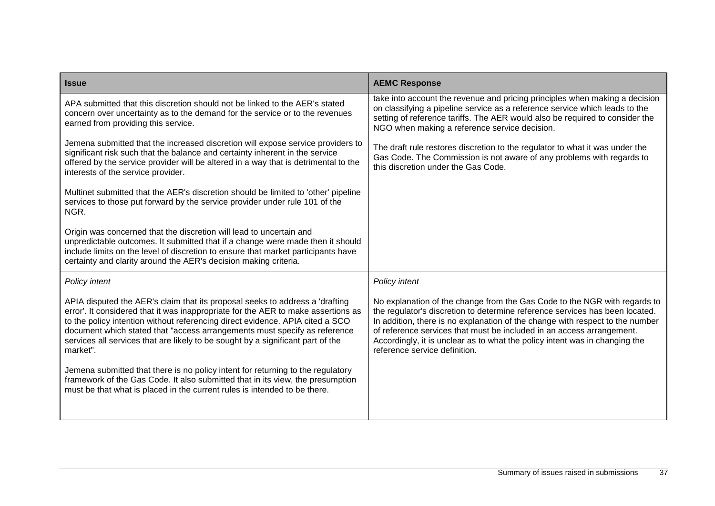| <b>Issue</b>                                                                                                                                                                                                                                                                                                                                                                                                                   | <b>AEMC Response</b>                                                                                                                                                                                                                                                                                                                                                                                                                |
|--------------------------------------------------------------------------------------------------------------------------------------------------------------------------------------------------------------------------------------------------------------------------------------------------------------------------------------------------------------------------------------------------------------------------------|-------------------------------------------------------------------------------------------------------------------------------------------------------------------------------------------------------------------------------------------------------------------------------------------------------------------------------------------------------------------------------------------------------------------------------------|
| APA submitted that this discretion should not be linked to the AER's stated<br>concern over uncertainty as to the demand for the service or to the revenues<br>earned from providing this service.                                                                                                                                                                                                                             | take into account the revenue and pricing principles when making a decision<br>on classifying a pipeline service as a reference service which leads to the<br>setting of reference tariffs. The AER would also be required to consider the<br>NGO when making a reference service decision.                                                                                                                                         |
| Jemena submitted that the increased discretion will expose service providers to<br>significant risk such that the balance and certainty inherent in the service<br>offered by the service provider will be altered in a way that is detrimental to the<br>interests of the service provider.                                                                                                                                   | The draft rule restores discretion to the regulator to what it was under the<br>Gas Code. The Commission is not aware of any problems with regards to<br>this discretion under the Gas Code.                                                                                                                                                                                                                                        |
| Multinet submitted that the AER's discretion should be limited to 'other' pipeline<br>services to those put forward by the service provider under rule 101 of the<br>NGR.                                                                                                                                                                                                                                                      |                                                                                                                                                                                                                                                                                                                                                                                                                                     |
| Origin was concerned that the discretion will lead to uncertain and<br>unpredictable outcomes. It submitted that if a change were made then it should<br>include limits on the level of discretion to ensure that market participants have<br>certainty and clarity around the AER's decision making criteria.                                                                                                                 |                                                                                                                                                                                                                                                                                                                                                                                                                                     |
| Policy intent                                                                                                                                                                                                                                                                                                                                                                                                                  | Policy intent                                                                                                                                                                                                                                                                                                                                                                                                                       |
| APIA disputed the AER's claim that its proposal seeks to address a 'drafting<br>error'. It considered that it was inappropriate for the AER to make assertions as<br>to the policy intention without referencing direct evidence. APIA cited a SCO<br>document which stated that "access arrangements must specify as reference<br>services all services that are likely to be sought by a significant part of the<br>market". | No explanation of the change from the Gas Code to the NGR with regards to<br>the regulator's discretion to determine reference services has been located.<br>In addition, there is no explanation of the change with respect to the number<br>of reference services that must be included in an access arrangement.<br>Accordingly, it is unclear as to what the policy intent was in changing the<br>reference service definition. |
| Jemena submitted that there is no policy intent for returning to the regulatory<br>framework of the Gas Code. It also submitted that in its view, the presumption<br>must be that what is placed in the current rules is intended to be there.                                                                                                                                                                                 |                                                                                                                                                                                                                                                                                                                                                                                                                                     |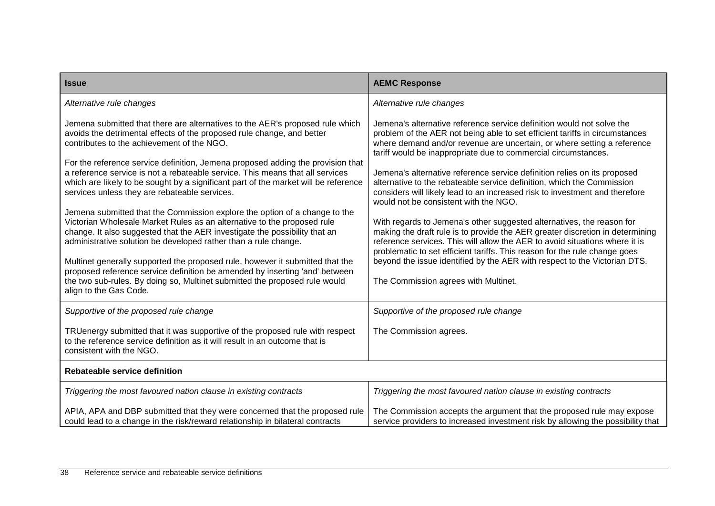| <b>Issue</b>                                                                                                                                                                                                                                                                                                                                                                                                                                                                                                                                                                                                                                                                                                                                                                                                                | <b>AEMC Response</b>                                                                                                                                                                                                                                                                                                                                                                                                                                                                                                                                                                                                                                                                                                                                                                                                     |  |
|-----------------------------------------------------------------------------------------------------------------------------------------------------------------------------------------------------------------------------------------------------------------------------------------------------------------------------------------------------------------------------------------------------------------------------------------------------------------------------------------------------------------------------------------------------------------------------------------------------------------------------------------------------------------------------------------------------------------------------------------------------------------------------------------------------------------------------|--------------------------------------------------------------------------------------------------------------------------------------------------------------------------------------------------------------------------------------------------------------------------------------------------------------------------------------------------------------------------------------------------------------------------------------------------------------------------------------------------------------------------------------------------------------------------------------------------------------------------------------------------------------------------------------------------------------------------------------------------------------------------------------------------------------------------|--|
| Alternative rule changes                                                                                                                                                                                                                                                                                                                                                                                                                                                                                                                                                                                                                                                                                                                                                                                                    | Alternative rule changes                                                                                                                                                                                                                                                                                                                                                                                                                                                                                                                                                                                                                                                                                                                                                                                                 |  |
| Jemena submitted that there are alternatives to the AER's proposed rule which<br>avoids the detrimental effects of the proposed rule change, and better<br>contributes to the achievement of the NGO.<br>For the reference service definition, Jemena proposed adding the provision that<br>a reference service is not a rebateable service. This means that all services<br>which are likely to be sought by a significant part of the market will be reference<br>services unless they are rebateable services.<br>Jemena submitted that the Commission explore the option of a change to the<br>Victorian Wholesale Market Rules as an alternative to the proposed rule<br>change. It also suggested that the AER investigate the possibility that an<br>administrative solution be developed rather than a rule change. | Jemena's alternative reference service definition would not solve the<br>problem of the AER not being able to set efficient tariffs in circumstances<br>where demand and/or revenue are uncertain, or where setting a reference<br>tariff would be inappropriate due to commercial circumstances.<br>Jemena's alternative reference service definition relies on its proposed<br>alternative to the rebateable service definition, which the Commission<br>considers will likely lead to an increased risk to investment and therefore<br>would not be consistent with the NGO.<br>With regards to Jemena's other suggested alternatives, the reason for<br>making the draft rule is to provide the AER greater discretion in determining<br>reference services. This will allow the AER to avoid situations where it is |  |
| Multinet generally supported the proposed rule, however it submitted that the<br>proposed reference service definition be amended by inserting 'and' between<br>the two sub-rules. By doing so, Multinet submitted the proposed rule would<br>align to the Gas Code.                                                                                                                                                                                                                                                                                                                                                                                                                                                                                                                                                        | problematic to set efficient tariffs. This reason for the rule change goes<br>beyond the issue identified by the AER with respect to the Victorian DTS.<br>The Commission agrees with Multinet.                                                                                                                                                                                                                                                                                                                                                                                                                                                                                                                                                                                                                          |  |
| Supportive of the proposed rule change                                                                                                                                                                                                                                                                                                                                                                                                                                                                                                                                                                                                                                                                                                                                                                                      | Supportive of the proposed rule change                                                                                                                                                                                                                                                                                                                                                                                                                                                                                                                                                                                                                                                                                                                                                                                   |  |
| TRUenergy submitted that it was supportive of the proposed rule with respect<br>to the reference service definition as it will result in an outcome that is<br>consistent with the NGO.                                                                                                                                                                                                                                                                                                                                                                                                                                                                                                                                                                                                                                     | The Commission agrees.                                                                                                                                                                                                                                                                                                                                                                                                                                                                                                                                                                                                                                                                                                                                                                                                   |  |
| Rebateable service definition                                                                                                                                                                                                                                                                                                                                                                                                                                                                                                                                                                                                                                                                                                                                                                                               |                                                                                                                                                                                                                                                                                                                                                                                                                                                                                                                                                                                                                                                                                                                                                                                                                          |  |
| Triggering the most favoured nation clause in existing contracts                                                                                                                                                                                                                                                                                                                                                                                                                                                                                                                                                                                                                                                                                                                                                            | Triggering the most favoured nation clause in existing contracts                                                                                                                                                                                                                                                                                                                                                                                                                                                                                                                                                                                                                                                                                                                                                         |  |
| APIA, APA and DBP submitted that they were concerned that the proposed rule<br>could lead to a change in the risk/reward relationship in bilateral contracts                                                                                                                                                                                                                                                                                                                                                                                                                                                                                                                                                                                                                                                                | The Commission accepts the argument that the proposed rule may expose<br>service providers to increased investment risk by allowing the possibility that                                                                                                                                                                                                                                                                                                                                                                                                                                                                                                                                                                                                                                                                 |  |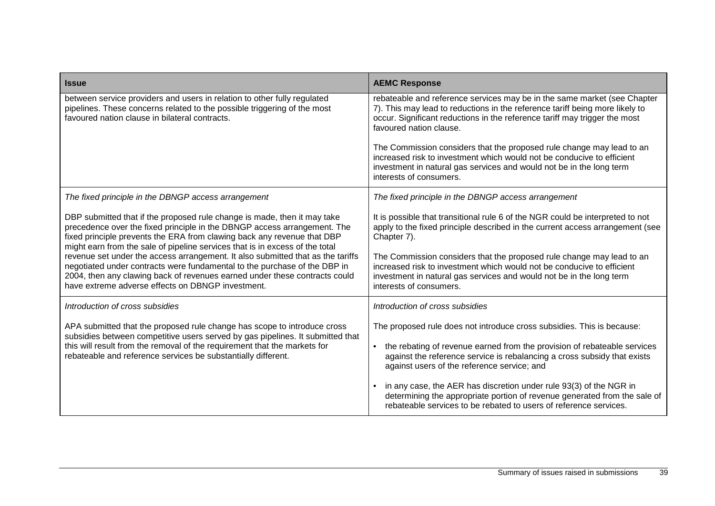| <b>Issue</b>                                                                                                                                                                                                                                                                                                    | <b>AEMC Response</b>                                                                                                                                                                                                                                              |
|-----------------------------------------------------------------------------------------------------------------------------------------------------------------------------------------------------------------------------------------------------------------------------------------------------------------|-------------------------------------------------------------------------------------------------------------------------------------------------------------------------------------------------------------------------------------------------------------------|
| between service providers and users in relation to other fully regulated<br>pipelines. These concerns related to the possible triggering of the most<br>favoured nation clause in bilateral contracts.                                                                                                          | rebateable and reference services may be in the same market (see Chapter<br>7). This may lead to reductions in the reference tariff being more likely to<br>occur. Significant reductions in the reference tariff may trigger the most<br>favoured nation clause. |
|                                                                                                                                                                                                                                                                                                                 | The Commission considers that the proposed rule change may lead to an<br>increased risk to investment which would not be conducive to efficient<br>investment in natural gas services and would not be in the long term<br>interests of consumers.                |
| The fixed principle in the DBNGP access arrangement                                                                                                                                                                                                                                                             | The fixed principle in the DBNGP access arrangement                                                                                                                                                                                                               |
| DBP submitted that if the proposed rule change is made, then it may take<br>precedence over the fixed principle in the DBNGP access arrangement. The<br>fixed principle prevents the ERA from clawing back any revenue that DBP<br>might earn from the sale of pipeline services that is in excess of the total | It is possible that transitional rule 6 of the NGR could be interpreted to not<br>apply to the fixed principle described in the current access arrangement (see<br>Chapter 7).                                                                                    |
| revenue set under the access arrangement. It also submitted that as the tariffs<br>negotiated under contracts were fundamental to the purchase of the DBP in<br>2004, then any clawing back of revenues earned under these contracts could<br>have extreme adverse effects on DBNGP investment.                 | The Commission considers that the proposed rule change may lead to an<br>increased risk to investment which would not be conducive to efficient<br>investment in natural gas services and would not be in the long term<br>interests of consumers.                |
| Introduction of cross subsidies                                                                                                                                                                                                                                                                                 | Introduction of cross subsidies                                                                                                                                                                                                                                   |
| APA submitted that the proposed rule change has scope to introduce cross<br>subsidies between competitive users served by gas pipelines. It submitted that                                                                                                                                                      | The proposed rule does not introduce cross subsidies. This is because:                                                                                                                                                                                            |
| this will result from the removal of the requirement that the markets for<br>rebateable and reference services be substantially different.                                                                                                                                                                      | the rebating of revenue earned from the provision of rebateable services<br>against the reference service is rebalancing a cross subsidy that exists<br>against users of the reference service; and                                                               |
|                                                                                                                                                                                                                                                                                                                 | in any case, the AER has discretion under rule 93(3) of the NGR in<br>$\bullet$<br>determining the appropriate portion of revenue generated from the sale of<br>rebateable services to be rebated to users of reference services.                                 |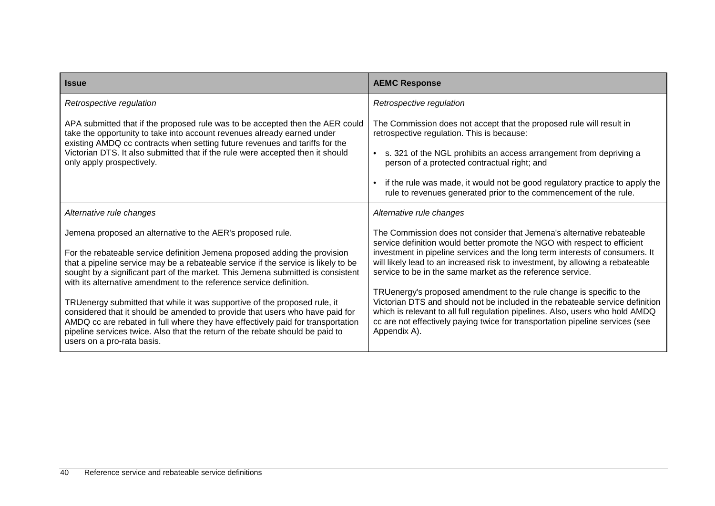| <b>Issue</b>                                                                                                                                                                                                                                                                                                                                                | <b>AEMC Response</b>                                                                                                                                                                                                                                                                                                                    |
|-------------------------------------------------------------------------------------------------------------------------------------------------------------------------------------------------------------------------------------------------------------------------------------------------------------------------------------------------------------|-----------------------------------------------------------------------------------------------------------------------------------------------------------------------------------------------------------------------------------------------------------------------------------------------------------------------------------------|
| Retrospective regulation                                                                                                                                                                                                                                                                                                                                    | Retrospective regulation                                                                                                                                                                                                                                                                                                                |
| APA submitted that if the proposed rule was to be accepted then the AER could<br>take the opportunity to take into account revenues already earned under<br>existing AMDQ cc contracts when setting future revenues and tariffs for the                                                                                                                     | The Commission does not accept that the proposed rule will result in<br>retrospective regulation. This is because:                                                                                                                                                                                                                      |
| Victorian DTS. It also submitted that if the rule were accepted then it should<br>only apply prospectively.                                                                                                                                                                                                                                                 | s. 321 of the NGL prohibits an access arrangement from depriving a<br>person of a protected contractual right; and                                                                                                                                                                                                                      |
|                                                                                                                                                                                                                                                                                                                                                             | if the rule was made, it would not be good regulatory practice to apply the<br>rule to revenues generated prior to the commencement of the rule.                                                                                                                                                                                        |
| Alternative rule changes                                                                                                                                                                                                                                                                                                                                    | Alternative rule changes                                                                                                                                                                                                                                                                                                                |
| Jemena proposed an alternative to the AER's proposed rule.                                                                                                                                                                                                                                                                                                  | The Commission does not consider that Jemena's alternative rebateable<br>service definition would better promote the NGO with respect to efficient                                                                                                                                                                                      |
| For the rebateable service definition Jemena proposed adding the provision<br>that a pipeline service may be a rebateable service if the service is likely to be<br>sought by a significant part of the market. This Jemena submitted is consistent<br>with its alternative amendment to the reference service definition.                                  | investment in pipeline services and the long term interests of consumers. It<br>will likely lead to an increased risk to investment, by allowing a rebateable<br>service to be in the same market as the reference service.                                                                                                             |
| TRUenergy submitted that while it was supportive of the proposed rule, it<br>considered that it should be amended to provide that users who have paid for<br>AMDQ cc are rebated in full where they have effectively paid for transportation<br>pipeline services twice. Also that the return of the rebate should be paid to<br>users on a pro-rata basis. | TRUenergy's proposed amendment to the rule change is specific to the<br>Victorian DTS and should not be included in the rebateable service definition<br>which is relevant to all full regulation pipelines. Also, users who hold AMDQ<br>cc are not effectively paying twice for transportation pipeline services (see<br>Appendix A). |